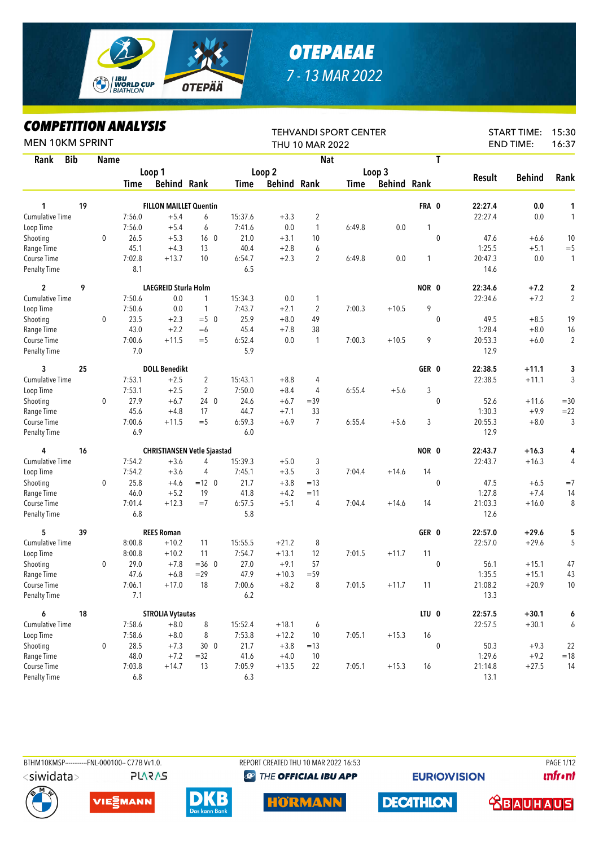

## *OTEPAEAE 7 - 13 MAR 2022*

## *COMPETITION ANALYSIS*

| <b>MEN 10KM SPRINT</b>      |            | IIFEIIIIVN ANALIƏIƏ |               |                               |                                    |               |                    | THU 10 MAR 2022 | <b>TEHVANDI SPORT CENTER</b> |                    |        |                  |                 | <b>START TIME:</b><br><b>END TIME:</b> | 15:30<br>16:37 |
|-----------------------------|------------|---------------------|---------------|-------------------------------|------------------------------------|---------------|--------------------|-----------------|------------------------------|--------------------|--------|------------------|-----------------|----------------------------------------|----------------|
| Rank                        | <b>Bib</b> | <b>Name</b>         |               |                               |                                    |               |                    | <b>Nat</b>      |                              |                    |        | T                |                 |                                        |                |
|                             |            |                     |               | Loop 1                        |                                    |               | Loop 2             |                 |                              | Loop 3             |        |                  |                 |                                        |                |
|                             |            |                     | Time          | <b>Behind Rank</b>            |                                    | Time          | <b>Behind Rank</b> |                 | Time                         | <b>Behind Rank</b> |        |                  | Result          | <b>Behind</b>                          | Rank           |
|                             |            |                     |               |                               |                                    |               |                    |                 |                              |                    |        |                  |                 |                                        |                |
| 1                           | 19         |                     |               | <b>FILLON MAILLET Quentin</b> |                                    |               |                    |                 |                              |                    | FRA 0  |                  | 22:27.4         | 0.0                                    | 1              |
| <b>Cumulative Time</b>      |            |                     | 7:56.0        | $+5.4$                        | 6                                  | 15:37.6       | $+3.3$             | $\overline{2}$  |                              |                    |        |                  | 22:27.4         | 0.0                                    | 1              |
| Loop Time                   |            |                     | 7:56.0        | $+5.4$                        | 6                                  | 7:41.6        | 0.0                | $\mathbf{1}$    | 6:49.8                       | 0.0                | 1      |                  |                 |                                        |                |
| Shooting                    |            | 0                   | 26.5          | $+5.3$                        | 16 <sub>0</sub>                    | 21.0          | $+3.1$             | 10              |                              |                    |        | $\mathbf{0}$     | 47.6            | $+6.6$                                 | 10             |
| Range Time                  |            |                     | 45.1          | $+4.3$                        | 13                                 | 40.4          | $+2.8$             | 6               |                              |                    |        |                  | 1:25.5          | $+5.1$                                 | $= 5$          |
| Course Time<br>Penalty Time |            |                     | 7:02.8<br>8.1 | $+13.7$                       | 10                                 | 6:54.7<br>6.5 | $+2.3$             | 2               | 6:49.8                       | 0.0                | 1      |                  | 20:47.3<br>14.6 | 0.0                                    | $\mathbf{1}$   |
| $\overline{2}$              | 9          |                     |               | <b>LAEGREID Sturla Holm</b>   |                                    |               |                    |                 |                              |                    | NOR 0  |                  | 22:34.6         | $+7.2$                                 | $\mathbf 2$    |
| <b>Cumulative Time</b>      |            |                     | 7:50.6        | 0.0                           | $\mathbf{1}$                       | 15:34.3       | 0.0                | 1               |                              |                    |        |                  | 22:34.6         | $+7.2$                                 | $\overline{c}$ |
| Loop Time                   |            |                     | 7:50.6        | 0.0                           | $\mathbf{1}$                       | 7:43.7        | $+2.1$             | $\overline{2}$  | 7:00.3                       | $+10.5$            | 9      |                  |                 |                                        |                |
| Shooting                    |            | $\mathbf 0$         | 23.5          | $+2.3$                        | $=5$ 0                             | 25.9          | $+8.0$             | 49              |                              |                    |        | 0                | 49.5            | $+8.5$                                 | 19             |
| Range Time                  |            |                     | 43.0          | $+2.2$                        | $=6$                               | 45.4          | $+7.8$             | 38              |                              |                    |        |                  | 1:28.4          | $+8.0$                                 | 16             |
| Course Time                 |            |                     | 7:00.6        | $+11.5$                       | $=$ 5                              | 6:52.4        | 0.0                | 1               | 7:00.3                       | $+10.5$            | 9      |                  | 20:53.3         | $+6.0$                                 | $\overline{c}$ |
| <b>Penalty Time</b>         |            |                     | 7.0           |                               |                                    | 5.9           |                    |                 |                              |                    |        |                  | 12.9            |                                        |                |
| 3                           | 25         |                     |               | <b>DOLL Benedikt</b>          |                                    |               |                    |                 |                              |                    | GER 0  |                  | 22:38.5         | $+11.1$                                | 3              |
| <b>Cumulative Time</b>      |            |                     | 7:53.1        | $+2.5$                        | 2                                  | 15:43.1       | $+8.8$             | 4               |                              |                    |        |                  | 22:38.5         | $+11.1$                                | 3              |
| Loop Time                   |            |                     | 7:53.1        | $+2.5$                        | $\overline{2}$                     | 7:50.0        | $+8.4$             | 4               | 6:55.4                       | $+5.6$             | 3      |                  |                 |                                        |                |
| Shooting                    |            | 0                   | 27.9          | $+6.7$                        | 240                                | 24.6          | $+6.7$             | $=39$           |                              |                    |        | $\mathbf 0$      | 52.6            | $+11.6$                                | $=30$          |
| Range Time                  |            |                     | 45.6          | $+4.8$                        | 17                                 | 44.7          | $+7.1$             | 33              |                              |                    |        |                  | 1:30.3          | $+9.9$                                 | $= 22$         |
| Course Time                 |            |                     | 7:00.6        | $+11.5$                       | $=$ 5                              | 6:59.3        | $+6.9$             | $\overline{7}$  | 6:55.4                       | $+5.6$             | 3      |                  | 20:55.3         | $+8.0$                                 | 3              |
| <b>Penalty Time</b>         |            |                     | 6.9           |                               |                                    | 6.0           |                    |                 |                              |                    |        |                  | 12.9            |                                        |                |
| 4                           | 16         |                     |               |                               | <b>CHRISTIANSEN Vetle Sjaastad</b> |               |                    |                 |                              |                    | NOR 0  |                  | 22:43.7         | $+16.3$                                | 4              |
| <b>Cumulative Time</b>      |            |                     | 7:54.2        | $+3.6$                        | 4                                  | 15:39.3       | $+5.0$             | 3               |                              |                    |        |                  | 22:43.7         | $+16.3$                                | 4              |
| Loop Time                   |            |                     | 7:54.2        | $+3.6$                        | 4                                  | 7:45.1        | $+3.5$             | 3               | 7:04.4                       | $+14.6$            | 14     |                  |                 |                                        |                |
| Shooting                    |            | 0                   | 25.8          | $+4.6$                        | $=12$ 0                            | 21.7          | $+3.8$             | $=13$           |                              |                    |        | $\mathbf{0}$     | 47.5            | $+6.5$                                 | $=7$           |
| Range Time                  |            |                     | 46.0          | $+5.2$                        | 19                                 | 41.8          | $+4.2$             | $=11$           |                              |                    |        |                  | 1:27.8          | $+7.4$                                 | 14             |
| Course Time                 |            |                     | 7:01.4        | $+12.3$                       | $=7$                               | 6:57.5        | $+5.1$             | 4               | 7:04.4                       | $+14.6$            | 14     |                  | 21:03.3         | $+16.0$                                | 8              |
| <b>Penalty Time</b>         |            |                     | 6.8           |                               |                                    | 5.8           |                    |                 |                              |                    |        |                  | 12.6            |                                        |                |
| 5                           | 39         |                     |               | <b>REES Roman</b>             |                                    |               |                    |                 |                              |                    | GER 0  |                  | 22:57.0         | $+29.6$                                | 5              |
| <b>Cumulative Time</b>      |            |                     | 8:00.8        | $+10.2$                       | 11                                 | 15:55.5       | $+21.2$            | 8               |                              |                    |        |                  | 22:57.0         | $+29.6$                                | 5              |
| Loop Time                   |            |                     | 8:00.8        | $+10.2$                       | 11                                 | 7:54.7        | $+13.1$            | 12              | 7:01.5                       | $+11.7$            | 11     |                  |                 |                                        |                |
| Shooting                    |            | 0                   | 29.0          | $+7.8$                        | $=360$                             | 27.0          | $+9.1$             | 57              |                              |                    |        | $\mathbf 0$      | 56.1            | $+15.1$                                | 47             |
| Range Time                  |            |                     | 47.6          | $+6.8$                        | $= 29$                             | 47.9          | $+10.3$            | $= 59$          |                              |                    |        |                  | 1:35.5          | $+15.1$                                | 43             |
| Course Time                 |            |                     | 7:06.1        | $+17.0$                       | 18                                 | 7:00.6        | $+8.2$             | 8               | 7:01.5                       | $+11.7$            | 11     |                  | 21:08.2         | $+20.9$                                | $10$           |
| <b>Penalty Time</b>         |            |                     | 7.1           |                               |                                    | $6.2\,$       |                    |                 |                              |                    |        |                  | 13.3            |                                        |                |
| 6                           | 18         |                     |               | <b>STROLIA Vytautas</b>       |                                    |               |                    |                 |                              |                    | LTU 0  |                  | 22:57.5         | $+30.1$                                | 6              |
| <b>Cumulative Time</b>      |            |                     | 7:58.6        | $+8.0$                        | $\, 8$                             | 15:52.4       | $+18.1$            | 6               |                              |                    |        |                  | 22:57.5         | $+30.1$                                | 6              |
| Loop Time                   |            |                     | 7:58.6        | $+8.0$                        | 8                                  | 7:53.8        | $+12.2$            | 10              | 7:05.1                       | $+15.3$            | $16\,$ |                  |                 |                                        |                |
| Shooting                    |            | $\pmb{0}$           | 28.5          | $+7.3$                        | 300                                | 21.7          | $+3.8$             | $=13$           |                              |                    |        | $\boldsymbol{0}$ | 50.3            | $+9.3$                                 | 22             |
| Range Time                  |            |                     | 48.0          | $+7.2$                        | $=32$                              | 41.6          | $+4.0$             | 10              |                              |                    |        |                  | 1:29.6          | $+9.2$                                 | $=18$          |
| Course Time                 |            |                     | 7:03.8        | $+14.7$                       | 13                                 | 7:05.9        | $+13.5$            | 22              | 7:05.1                       | $+15.3$            | 16     |                  | 21:14.8         | $+27.5$                                | 14             |
| <b>Penalty Time</b>         |            |                     | $6.8\,$       |                               |                                    | $6.3\,$       |                    |                 |                              |                    |        |                  | 13.1            |                                        |                |



**EURIO)VISION** 

**unfront** 



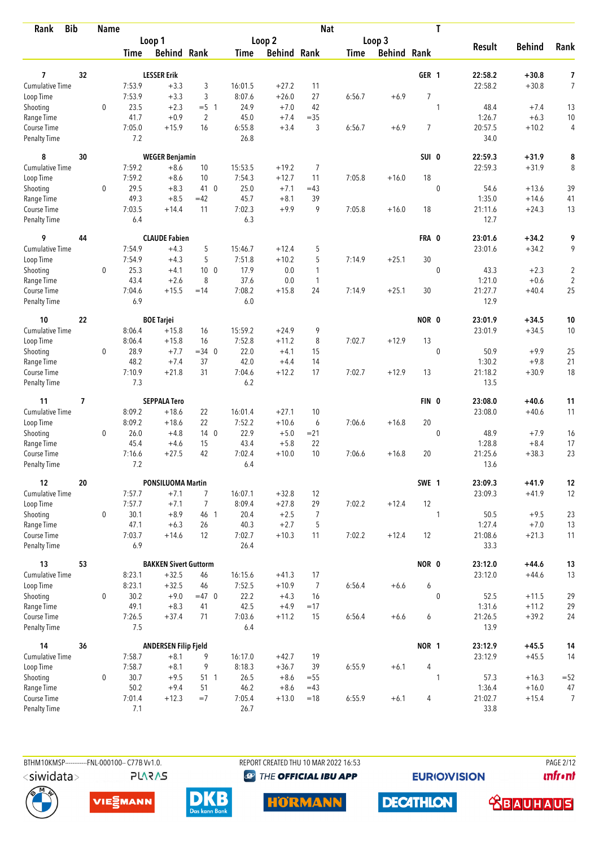| <b>Bib</b><br>Rank                 |    | <b>Name</b> |               |                              |                 |                |                    | <b>Nat</b>     |             |             |                | T            |                    |                    |                     |
|------------------------------------|----|-------------|---------------|------------------------------|-----------------|----------------|--------------------|----------------|-------------|-------------|----------------|--------------|--------------------|--------------------|---------------------|
|                                    |    |             |               | Loop 1                       |                 |                | Loop 2             |                |             | Loop 3      |                |              |                    |                    |                     |
|                                    |    |             | Time          | <b>Behind Rank</b>           |                 | Time           | <b>Behind Rank</b> |                | <b>Time</b> | Behind Rank |                |              | <b>Result</b>      | <b>Behind</b>      | Rank                |
|                                    |    |             |               |                              |                 |                |                    |                |             |             |                |              |                    |                    |                     |
| 7<br><b>Cumulative Time</b>        | 32 |             | 7:53.9        | <b>LESSER Erik</b><br>$+3.3$ | 3               | 16:01.5        | $+27.2$            | 11             |             |             | GER 1          |              | 22:58.2<br>22:58.2 | $+30.8$<br>$+30.8$ | 7<br>$\overline{7}$ |
| Loop Time                          |    |             | 7:53.9        | $+3.3$                       | 3               | 8:07.6         | $+26.0$            | 27             | 6:56.7      | $+6.9$      | $\overline{7}$ |              |                    |                    |                     |
| Shooting                           |    | $\mathbf 0$ | 23.5          | $+2.3$                       | $= 5 \quad 1$   | 24.9           | $+7.0$             | 42             |             |             |                | 1            | 48.4               | $+7.4$             | 13                  |
| Range Time                         |    |             | 41.7          | $+0.9$                       | $\overline{2}$  | 45.0           | $+7.4$             | $=35$          |             |             |                |              | 1:26.7             | $+6.3$             | 10                  |
| Course Time                        |    |             | 7:05.0        | $+15.9$                      | 16              | 6:55.8         | $+3.4$             | 3              | 6:56.7      | $+6.9$      | 7              |              | 20:57.5            | $+10.2$            | 4                   |
| <b>Penalty Time</b>                |    |             | 7.2           |                              |                 | 26.8           |                    |                |             |             |                |              | 34.0               |                    |                     |
| 8                                  | 30 |             |               | <b>WEGER Benjamin</b>        |                 |                |                    |                |             |             | SUI 0          |              | 22:59.3            | $+31.9$            | 8                   |
| <b>Cumulative Time</b>             |    |             | 7:59.2        | $+8.6$                       | 10              | 15:53.5        | $+19.2$            | $\overline{7}$ |             |             |                |              | 22:59.3            | $+31.9$            | 8                   |
| Loop Time                          |    |             | 7:59.2        | $+8.6$                       | 10              | 7:54.3         | $+12.7$            | 11             | 7:05.8      | $+16.0$     | 18             |              |                    |                    |                     |
| Shooting                           |    | 0           | 29.5          | $+8.3$                       | 41 0            | 25.0           | $+7.1$             | $=43$          |             |             |                | $\mathbf{0}$ | 54.6               | $+13.6$            | 39                  |
| Range Time                         |    |             | 49.3          | $+8.5$                       | $=42$           | 45.7           | $+8.1$             | 39             |             |             |                |              | 1:35.0             | $+14.6$            | 41                  |
| Course Time                        |    |             | 7:03.5        | $+14.4$                      | 11              | 7:02.3         | $+9.9$             | 9              | 7:05.8      | $+16.0$     | 18             |              | 21:11.6            | $+24.3$            | 13                  |
| <b>Penalty Time</b>                |    |             | 6.4           |                              |                 | 6.3            |                    |                |             |             |                |              | 12.7               |                    |                     |
| 9                                  | 44 |             |               | <b>CLAUDE Fabien</b>         |                 |                |                    |                |             |             | FRA 0          |              | 23:01.6            | $+34.2$            | 9                   |
| <b>Cumulative Time</b>             |    |             | 7:54.9        | $+4.3$                       | 5               | 15:46.7        | $+12.4$            | 5              |             |             |                |              | 23:01.6            | $+34.2$            | 9                   |
| Loop Time                          |    |             | 7:54.9        | $+4.3$                       | 5               | 7:51.8         | $+10.2$            | 5              | 7:14.9      | $+25.1$     | 30             |              |                    |                    |                     |
| Shooting                           |    | 0           | 25.3          | $+4.1$                       | 10 <sub>0</sub> | 17.9           | 0.0                | 1              |             |             |                | $\mathbf 0$  | 43.3               | $+2.3$             | $\sqrt{2}$          |
| Range Time                         |    |             | 43.4          | $+2.6$                       | 8               | 37.6           | 0.0                | $\mathbf{1}$   |             |             |                |              | 1:21.0             | $+0.6$             | $\sqrt{2}$          |
| Course Time<br><b>Penalty Time</b> |    |             | 7:04.6<br>6.9 | $+15.5$                      | $=14$           | 7:08.2<br>6.0  | $+15.8$            | 24             | 7:14.9      | $+25.1$     | 30             |              | 21:27.7<br>12.9    | $+40.4$            | 25                  |
| 10                                 | 22 |             |               | <b>BOE Tarjei</b>            |                 |                |                    |                |             |             | NOR 0          |              | 23:01.9            | $+34.5$            | 10                  |
| Cumulative Time                    |    |             | 8:06.4        | $+15.8$                      | 16              | 15:59.2        | $+24.9$            | 9              |             |             |                |              | 23:01.9            | $+34.5$            | 10                  |
| Loop Time                          |    |             | 8:06.4        | $+15.8$                      | 16              | 7:52.8         | $+11.2$            | 8              | 7:02.7      | $+12.9$     | 13             |              |                    |                    |                     |
| Shooting                           |    | 0           | 28.9          | $+7.7$                       | $=34$ 0         | 22.0           | $+4.1$             | 15             |             |             |                | $\mathbf 0$  | 50.9               | $+9.9$             | 25                  |
| Range Time                         |    |             | 48.2          | $+7.4$                       | 37              | 42.0           | $+4.4$             | 14             |             |             |                |              | 1:30.2             | $+9.8$             | 21                  |
| Course Time                        |    |             | 7:10.9        | $+21.8$                      | 31              | 7:04.6         | $+12.2$            | 17             | 7:02.7      | $+12.9$     | 13             |              | 21:18.2            | $+30.9$            | 18                  |
| <b>Penalty Time</b>                |    |             | 7.3           |                              |                 | 6.2            |                    |                |             |             |                |              | 13.5               |                    |                     |
| 11                                 | 7  |             |               | <b>SEPPALA Tero</b>          |                 |                |                    |                |             |             | FIN 0          |              | 23:08.0            | $+40.6$            | 11                  |
| <b>Cumulative Time</b>             |    |             | 8:09.2        | $+18.6$                      | 22              | 16:01.4        | $+27.1$            | 10             |             |             |                |              | 23:08.0            | $+40.6$            | 11                  |
| Loop Time                          |    |             | 8:09.2        | $+18.6$                      | 22              | 7:52.2         | $+10.6$            | 6              | 7:06.6      | $+16.8$     | 20             |              |                    |                    |                     |
| Shooting                           |    | 0           | 26.0          | $+4.8$                       | 140             | 22.9           | $+5.0$             | $= 21$         |             |             |                | $\mathbf 0$  | 48.9               | $+7.9$             | 16                  |
| Range Time                         |    |             | 45.4          | $+4.6$                       | 15              | 43.4           | $+5.8$             | 22             |             |             |                |              | 1:28.8             | $+8.4$             | 17                  |
| Course Time                        |    |             | 7:16.6        | $+27.5$                      | 42              | 7:02.4         | $+10.0$            | 10             | 7:06.6      | $+16.8$     | 20             |              | 21:25.6            | $+38.3$            | 23                  |
| <b>Penalty Time</b>                |    |             | 7.2           |                              |                 | 6.4            |                    |                |             |             |                |              | 13.6               |                    |                     |
| 12                                 | 20 |             |               | <b>PONSILUOMA Martin</b>     |                 |                |                    |                |             |             | SWE 1          |              | 23:09.3            | $+41.9$            | 12                  |
| Cumulative Time                    |    |             | 7:57.7        | $+7.1$                       | $\overline{7}$  | 16:07.1        | $+32.8$            | 12             |             |             |                |              | 23:09.3            | $+41.9$            | 12                  |
| Loop Time                          |    |             | 7:57.7        | $+7.1$                       | $\overline{7}$  | 8:09.4         | $+27.8$            | 29             | 7:02.2      | $+12.4$     | 12             |              |                    |                    |                     |
| Shooting                           |    | 0           | 30.1          | $+8.9$                       | 46 1            | 20.4           | $+2.5$             | 7              |             |             |                | 1            | 50.5               | $+9.5$             | 23                  |
| Range Time                         |    |             | 47.1          | $+6.3$                       | 26              | 40.3           | $+2.7$             | 5              |             |             |                |              | 1:27.4             | $+7.0$             | 13                  |
| Course Time<br>Penalty Time        |    |             | 7:03.7<br>6.9 | $+14.6$                      | 12              | 7:02.7<br>26.4 | $+10.3$            | 11             | 7:02.2      | $+12.4$     | 12             |              | 21:08.6<br>33.3    | $+21.3$            | 11                  |
| 13                                 | 53 |             |               | <b>BAKKEN Sivert Guttorm</b> |                 |                |                    |                |             |             | NOR 0          |              | 23:12.0            | $+44.6$            | 13                  |
| <b>Cumulative Time</b>             |    |             | 8:23.1        | $+32.5$                      | 46              | 16:15.6        | $+41.3$            | 17             |             |             |                |              | 23:12.0            | $+44.6$            | 13                  |
| Loop Time                          |    |             | 8:23.1        | $+32.5$                      | 46              | 7:52.5         | $+10.9$            | $\overline{7}$ | 6:56.4      | $+6.6$      | 6              |              |                    |                    |                     |
| Shooting                           |    | 0           | 30.2          | $+9.0$                       | $=47$ 0         | 22.2           | $+4.3$             | 16             |             |             |                | $\mathbf 0$  | 52.5               | $+11.5$            | 29                  |
| Range Time                         |    |             | 49.1          | $+8.3$                       | 41              | 42.5           | $+4.9$             | $=17$          |             |             |                |              | 1:31.6             | $+11.2$            | 29                  |
| Course Time                        |    |             | 7:26.5        | $+37.4$                      | 71              | 7:03.6         | $+11.2$            | 15             | 6:56.4      | $+6.6$      | 6              |              | 21:26.5            | $+39.2$            | 24                  |
| Penalty Time                       |    |             | 7.5           |                              |                 | 6.4            |                    |                |             |             |                |              | 13.9               |                    |                     |
| 14                                 | 36 |             |               | <b>ANDERSEN Filip Fjeld</b>  |                 |                |                    |                |             |             | NOR 1          |              | 23:12.9            | $+45.5$            | 14                  |
| <b>Cumulative Time</b>             |    |             | 7:58.7        | $+8.1$                       | 9               | 16:17.0        | $+42.7$            | 19             |             |             |                |              | 23:12.9            | $+45.5$            | 14                  |
| Loop Time                          |    |             | 7:58.7        | $+8.1$                       | 9               | 8:18.3         | $+36.7$            | 39             | 6:55.9      | $+6.1$      | 4              |              |                    |                    |                     |
| Shooting                           |    | 0           | 30.7          | $+9.5$                       | 51 1            | 26.5           | $+8.6$             | $= 55$         |             |             |                | 1            | 57.3               | $+16.3$            | $=52$               |
| Range Time                         |    |             | 50.2          | $+9.4$                       | 51              | 46.2           | $+8.6$             | $=43$          |             |             |                |              | 1:36.4             | $+16.0$            | 47                  |
| Course Time<br>Penalty Time        |    |             | 7:01.4<br>7.1 | $+12.3$                      | $=7$            | 7:05.4<br>26.7 | $+13.0$            | $=18$          | 6:55.9      | $+6.1$      | 4              |              | 21:02.7<br>33.8    | $+15.4$            | 7                   |
|                                    |    |             |               |                              |                 |                |                    |                |             |             |                |              |                    |                    |                     |



BTHM10KMSP------------FNL-000100-- C77B Vv1.0.

**PLARAS** 

REPORT CREATED THU 10 MAR 2022 16:53 <sup><sup>9</sup> THE OFFICIAL IBU APP</sup>

**EURIOVISION** 

**PAGE 2/12** *<u><u>Infront</u>*</u>









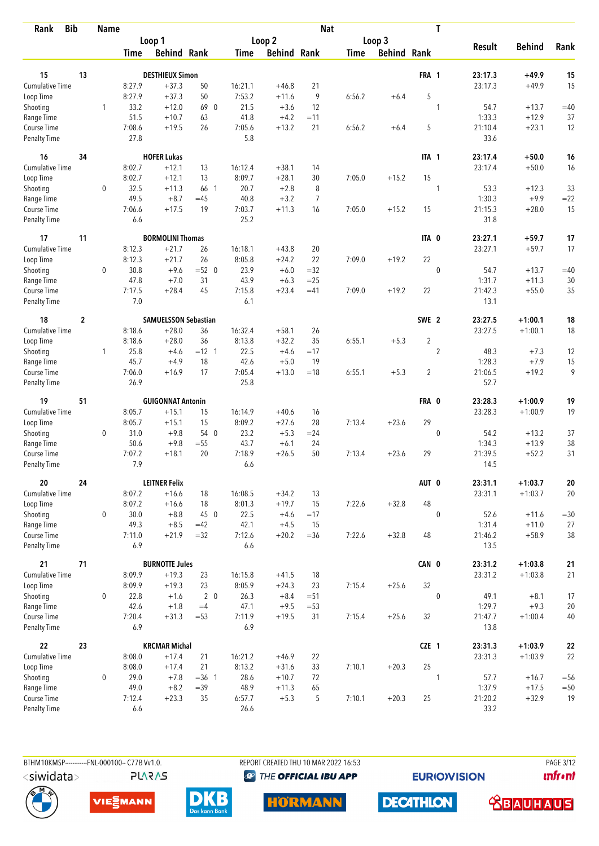| <b>Bib</b><br>Rank          |                  | <b>Name</b> |               |                             |                |               |                    | <b>Nat</b>     |             |             |                | T              |                 |               |            |
|-----------------------------|------------------|-------------|---------------|-----------------------------|----------------|---------------|--------------------|----------------|-------------|-------------|----------------|----------------|-----------------|---------------|------------|
|                             |                  |             |               | Loop 1                      |                |               | Loop 2             |                |             | Loop 3      |                |                |                 |               |            |
|                             |                  |             | Time          | <b>Behind Rank</b>          |                | Time          | <b>Behind Rank</b> |                | <b>Time</b> | Behind Rank |                |                | <b>Result</b>   | <b>Behind</b> | Rank       |
| 15                          | 13               |             |               | <b>DESTHIEUX Simon</b>      |                |               |                    |                |             |             | FRA 1          |                | 23:17.3         | $+49.9$       | 15         |
| <b>Cumulative Time</b>      |                  |             | 8:27.9        | $+37.3$                     | 50             | 16:21.1       | $+46.8$            | 21             |             |             |                |                | 23:17.3         | $+49.9$       | 15         |
| Loop Time                   |                  |             | 8:27.9        | $+37.3$                     | 50             | 7:53.2        | $+11.6$            | 9              | 6:56.2      | $+6.4$      | 5              |                |                 |               |            |
| Shooting                    |                  | 1           | 33.2          | $+12.0$                     | 69 0           | 21.5          | $+3.6$             | 12             |             |             |                | 1              | 54.7            | $+13.7$       | $=40$      |
| Range Time                  |                  |             | 51.5          | $+10.7$                     | 63             | 41.8          | $+4.2$             | $=11$          |             |             |                |                | 1:33.3          | $+12.9$       | 37         |
| Course Time                 |                  |             | 7:08.6        | $+19.5$                     | 26             | 7:05.6        | $+13.2$            | 21             | 6:56.2      | $+6.4$      | 5              |                | 21:10.4         | $+23.1$       | 12         |
| <b>Penalty Time</b>         |                  |             | 27.8          |                             |                | 5.8           |                    |                |             |             |                |                | 33.6            |               |            |
| 16                          | 34               |             |               | <b>HOFER Lukas</b>          |                |               |                    |                |             |             | ITA 1          |                | 23:17.4         | $+50.0$       | 16         |
| <b>Cumulative Time</b>      |                  |             | 8:02.7        | $+12.1$                     | 13             | 16:12.4       | $+38.1$            | 14             |             |             |                |                | 23:17.4         | $+50.0$       | 16         |
| Loop Time                   |                  |             | 8:02.7        | $+12.1$                     | 13             | 8:09.7        | $+28.1$            | 30             | 7:05.0      | $+15.2$     | 15             |                |                 |               |            |
| Shooting                    |                  | 0           | 32.5          | $+11.3$                     | 66 1           | 20.7          | $+2.8$             | 8              |             |             |                | 1              | 53.3            | $+12.3$       | 33         |
| Range Time                  |                  |             | 49.5          | $+8.7$                      | $=45$          | 40.8          | $+3.2$             | $\overline{7}$ |             |             |                |                | 1:30.3          | $+9.9$        | $=22$      |
| Course Time                 |                  |             | 7:06.6        | $+17.5$                     | 19             | 7:03.7        | $+11.3$            | 16             | 7:05.0      | $+15.2$     | 15             |                | 21:15.3         | $+28.0$       | 15         |
| Penalty Time                |                  |             | 6.6           |                             |                | 25.2          |                    |                |             |             |                |                | 31.8            |               |            |
| 17                          | 11               |             |               | <b>BORMOLINI Thomas</b>     |                |               |                    |                |             |             | ITA 0          |                | 23:27.1         | $+59.7$       | 17         |
| <b>Cumulative Time</b>      |                  |             | 8:12.3        | $+21.7$                     | 26             | 16:18.1       | $+43.8$            | 20             |             |             |                |                | 23:27.1         | $+59.7$       | 17         |
| Loop Time                   |                  |             | 8:12.3        | $+21.7$                     | 26             | 8:05.8        | $+24.2$            | 22             | 7:09.0      | $+19.2$     | 22             |                |                 |               |            |
| Shooting                    |                  | $\mathbf 0$ | 30.8          | $+9.6$                      | $=52$ 0        | 23.9          | $+6.0$             | $=32$          |             |             |                | $\mathbf 0$    | 54.7            | $+13.7$       | $=40$      |
| Range Time                  |                  |             | 47.8          | $+7.0$                      | 31             | 43.9          | $+6.3$             | $= 25$         |             |             |                |                | 1:31.7          | $+11.3$       | 30         |
| Course Time                 |                  |             | 7:17.5        | $+28.4$                     | 45             | 7:15.8        | $+23.4$            | $=41$          | 7:09.0      | $+19.2$     | 22             |                | 21:42.3         | $+55.0$       | 35         |
| <b>Penalty Time</b>         |                  |             | 7.0           |                             |                | 6.1           |                    |                |             |             |                |                | 13.1            |               |            |
| 18                          | $\boldsymbol{2}$ |             |               | <b>SAMUELSSON Sebastian</b> |                |               |                    |                |             |             | SWE 2          |                | 23:27.5         | $+1:00.1$     | 18         |
| Cumulative Time             |                  |             | 8:18.6        | $+28.0$                     | 36             | 16:32.4       | $+58.1$            | 26             |             |             |                |                | 23:27.5         | $+1:00.1$     | 18         |
| Loop Time                   |                  |             | 8:18.6        | $+28.0$                     | 36             | 8:13.8        | $+32.2$            | 35             | 6:55.1      | $+5.3$      | $\overline{2}$ |                |                 |               |            |
| Shooting                    |                  | 1           | 25.8          | $+4.6$                      | $= 12 \quad 1$ | 22.5          | $+4.6$             | $=17$          |             |             |                | $\overline{2}$ | 48.3            | $+7.3$        | 12         |
| Range Time                  |                  |             | 45.7          | $+4.9$                      | 18             | 42.6          | $+5.0$             | 19             |             |             |                |                | 1:28.3          | $+7.9$        | 15         |
| Course Time                 |                  |             | 7:06.0        | $+16.9$                     | 17             | 7:05.4        | $+13.0$            | $=18$          | 6:55.1      | $+5.3$      | 2              |                | 21:06.5         | $+19.2$       | 9          |
| <b>Penalty Time</b>         |                  |             | 26.9          |                             |                | 25.8          |                    |                |             |             |                |                | 52.7            |               |            |
| 19                          | 51               |             |               | <b>GUIGONNAT Antonin</b>    |                |               |                    |                |             |             | FRA 0          |                | 23:28.3         | $+1:00.9$     | 19         |
| Cumulative Time             |                  |             | 8:05.7        | $+15.1$                     | 15             | 16:14.9       | $+40.6$            | 16             |             |             |                |                | 23:28.3         | $+1:00.9$     | 19         |
| Loop Time                   |                  |             | 8:05.7        | $+15.1$                     | 15             | 8:09.2        | $+27.6$            | 28             | 7:13.4      | $+23.6$     | 29             |                |                 |               |            |
| Shooting                    |                  | 0           | 31.0          | $+9.8$                      | 54 0           | 23.2          | $+5.3$             | $= 24$         |             |             |                | $\mathbf 0$    | 54.2            | $+13.2$       | 37         |
| Range Time                  |                  |             | 50.6          | $+9.8$                      | $= 55$         | 43.7          | $+6.1$             | 24             |             |             |                |                | 1:34.3          | $+13.9$       | 38         |
| Course Time                 |                  |             | 7:07.2        | $+18.1$                     | 20             | 7:18.9        | $+26.5$            | 50             | 7:13.4      | $+23.6$     | 29             |                | 21:39.5         | $+52.2$       | 31         |
| <b>Penalty Time</b>         |                  |             | 7.9           |                             |                | 6.6           |                    |                |             |             |                |                | 14.5            |               |            |
| 20                          | 24               |             |               | <b>LEITNER Felix</b>        |                |               |                    |                |             |             | AUT 0          |                | 23:31.1         | $+1:03.7$     | ${\bf 20}$ |
| Cumulative Time             |                  |             | 8:07.2        | $+16.6$                     | 18             | 16:08.5       | $+34.2$            | 13             |             |             |                |                | 23:31.1         | $+1:03.7$     | 20         |
| Loop Time                   |                  |             | 8:07.2        | $+16.6$                     | 18             | 8:01.3        | $+19.7$            | 15             | 7:22.6      | $+32.8$     | 48             |                |                 |               |            |
| Shooting                    |                  | 0           | 30.0          | $+8.8$                      | 45 0           | 22.5          | $+4.6$             | $=17$          |             |             |                | $\mathbf{0}$   | 52.6            | $+11.6$       | $=30$      |
| Range Time                  |                  |             | 49.3          | $+8.5$                      | $=42$          | 42.1          | $+4.5$             | 15             |             |             |                |                | 1:31.4          | $+11.0$       | 27         |
| Course Time<br>Penalty Time |                  |             | 7:11.0<br>6.9 | $+21.9$                     | $=32$          | 7:12.6<br>6.6 | $+20.2$            | $=36$          | 7:22.6      | $+32.8$     | 48             |                | 21:46.2<br>13.5 | $+58.9$       | $38\,$     |
|                             |                  |             |               |                             |                |               |                    |                |             |             |                |                |                 |               |            |
| 21                          | 71               |             |               | <b>BURNOTTE Jules</b>       |                |               |                    |                |             |             | CAN 0          |                | 23:31.2         | $+1:03.8$     | 21         |
| <b>Cumulative Time</b>      |                  |             | 8:09.9        | $+19.3$                     | 23             | 16:15.8       | $+41.5$            | 18             |             |             |                |                | 23:31.2         | $+1:03.8$     | 21         |
| Loop Time                   |                  |             | 8:09.9        | $+19.3$                     | 23             | 8:05.9        | $+24.3$            | 23             | 7:15.4      | $+25.6$     | 32             |                |                 |               |            |
| Shooting                    |                  | 0           | 22.8          | $+1.6$                      | 2 <sub>0</sub> | 26.3          | $+8.4$             | $= 51$         |             |             |                | $\mathbf 0$    | 49.1            | $+8.1$        | 17         |
| Range Time                  |                  |             | 42.6          | $+1.8$                      | $=4$           | 47.1          | $+9.5$             | $= 53$         |             |             |                |                | 1:29.7          | $+9.3$        | 20         |
| Course Time<br>Penalty Time |                  |             | 7:20.4<br>6.9 | $+31.3$                     | $= 53$         | 7:11.9<br>6.9 | $+19.5$            | 31             | 7:15.4      | $+25.6$     | 32             |                | 21:47.7<br>13.8 | $+1:00.4$     | 40         |
| 22                          | 23               |             |               | <b>KRCMAR Michal</b>        |                |               |                    |                |             |             | CZE 1          |                | 23:31.3         | $+1:03.9$     | ${\bf 22}$ |
| Cumulative Time             |                  |             | 8:08.0        | $+17.4$                     | 21             | 16:21.2       | $+46.9$            | 22             |             |             |                |                | 23:31.3         | $+1:03.9$     | 22         |
| Loop Time                   |                  |             | 8:08.0        | $+17.4$                     | 21             | 8:13.2        | $+31.6$            | 33             | 7:10.1      | $+20.3$     | 25             |                |                 |               |            |
| Shooting                    |                  | 0           | 29.0          | $+7.8$                      | $=36$ 1        | 28.6          | $+10.7$            | 72             |             |             |                | 1              | 57.7            | $+16.7$       | $= 56$     |
| Range Time                  |                  |             | 49.0          | $+8.2$                      | $=39$          | 48.9          | $+11.3$            | 65             |             |             |                |                | 1:37.9          | $+17.5$       | $=50$      |
| Course Time                 |                  |             | 7:12.4        | $+23.3$                     | 35             | 6:57.7        | $+5.3$             | 5              | 7:10.1      | $+20.3$     | 25             |                | 21:20.2         | $+32.9$       | 19         |
| <b>Penalty Time</b>         |                  |             | 6.6           |                             |                | 26.6          |                    |                |             |             |                |                | 33.2            |               |            |

**PLARAS** 

BTHM10KMSP-----------FNL-000100-- C77B Vv1.0. REPORT CREATED THU 10 MAR 2022 16:53 PAGE 3/12 <sup><sup>9</sup> THE OFFICIAL IBU APP</sup>

**EURIOVISION** 

*<u><u>Infront</u>*</u>







**DECATHLON HORMANN** 

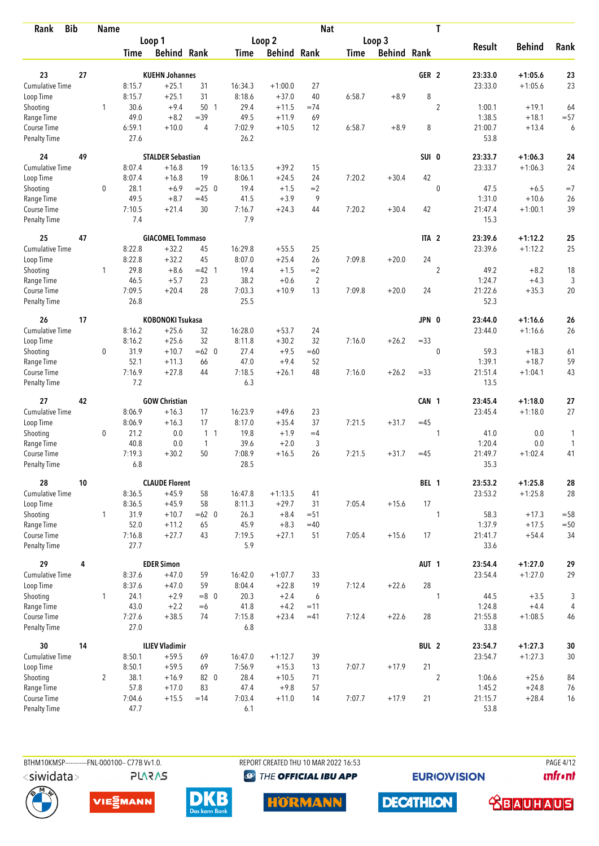| <b>Bib</b><br>Rank          |    | <b>Name</b>    |                |                          |                |               |                    | <b>Nat</b>     |             |                    |                  | T              |                 |               |        |
|-----------------------------|----|----------------|----------------|--------------------------|----------------|---------------|--------------------|----------------|-------------|--------------------|------------------|----------------|-----------------|---------------|--------|
|                             |    |                |                | Loop 1                   |                |               | Loop 2             |                |             | Loop 3             |                  |                |                 |               |        |
|                             |    |                | Time           | <b>Behind Rank</b>       |                | Time          | <b>Behind Rank</b> |                | <b>Time</b> | <b>Behind Rank</b> |                  |                | <b>Result</b>   | <b>Behind</b> | Rank   |
| 23                          | 27 |                |                | <b>KUEHN Johannes</b>    |                |               |                    |                |             |                    | GER <sub>2</sub> |                | 23:33.0         | $+1:05.6$     | 23     |
| <b>Cumulative Time</b>      |    |                | 8:15.7         | $+25.1$                  | 31             | 16:34.3       | $+1:00.0$          | 27             |             |                    |                  |                | 23:33.0         | $+1:05.6$     | 23     |
| Loop Time                   |    |                | 8:15.7         | $+25.1$                  | 31             | 8:18.6        | $+37.0$            | 40             | 6:58.7      | $+8.9$             | 8                |                |                 |               |        |
|                             |    | 1              | 30.6           | $+9.4$                   | 50 1           | 29.4          | $+11.5$            | $=74$          |             |                    |                  | $\overline{2}$ | 1:00.1          | $+19.1$       | 64     |
| Shooting<br>Range Time      |    |                | 49.0           | $+8.2$                   | $=39$          | 49.5          | $+11.9$            | 69             |             |                    |                  |                | 1:38.5          | $+18.1$       | $= 57$ |
| Course Time                 |    |                | 6:59.1         | $+10.0$                  | 4              | 7:02.9        | $+10.5$            | 12             | 6:58.7      | $+8.9$             | 8                |                | 21:00.7         | $+13.4$       | 6      |
| <b>Penalty Time</b>         |    |                | 27.6           |                          |                | 26.2          |                    |                |             |                    |                  |                | 53.8            |               |        |
| 24                          | 49 |                |                | <b>STALDER Sebastian</b> |                |               |                    |                |             |                    | SUI 0            |                | 23:33.7         | $+1:06.3$     | 24     |
| Cumulative Time             |    |                | 8:07.4         | $+16.8$                  | 19             | 16:13.5       | $+39.2$            | 15             |             |                    |                  |                | 23:33.7         | $+1:06.3$     | 24     |
| Loop Time                   |    |                | 8:07.4         | $+16.8$                  | 19             | 8:06.1        | $+24.5$            | 24             | 7:20.2      | $+30.4$            | 42               |                |                 |               |        |
| Shooting                    |    | 0              | 28.1           | $+6.9$                   | $= 25 \ 0$     | 19.4          | $+1.5$             | $=2$           |             |                    |                  | $\mathbf{0}$   | 47.5            | $+6.5$        | $=7$   |
| Range Time                  |    |                | 49.5           | $+8.7$                   | $=45$          | 41.5          | $+3.9$             | 9              |             |                    |                  |                | 1:31.0          | $+10.6$       | 26     |
| Course Time                 |    |                | 7:10.5         | $+21.4$                  | 30             | 7:16.7        | $+24.3$            | 44             | 7:20.2      | $+30.4$            | 42               |                | 21:47.4         | $+1:00.1$     | 39     |
| <b>Penalty Time</b>         |    |                | 7.4            |                          |                | 7.9           |                    |                |             |                    |                  |                | 15.3            |               |        |
| 25                          | 47 |                |                | <b>GIACOMEL Tommaso</b>  |                |               |                    |                |             |                    | ITA <sub>2</sub> |                | 23:39.6         | $+1:12.2$     | 25     |
| <b>Cumulative Time</b>      |    |                | 8:22.8         | $+32.2$                  | 45             | 16:29.8       | $+55.5$            | 25             |             |                    |                  |                | 23:39.6         | $+1:12.2$     | 25     |
| Loop Time                   |    |                | 8:22.8         | $+32.2$                  | 45             | 8:07.0        | $+25.4$            | 26             | 7:09.8      | $+20.0$            | 24               |                |                 |               |        |
| Shooting                    |    | $\mathbf{1}$   | 29.8           | $+8.6$                   | $=42$ 1        | 19.4          | $+1.5$             | $=2$           |             |                    |                  | $\overline{c}$ | 49.2            | $+8.2$        | 18     |
| Range Time                  |    |                | 46.5           | $+5.7$                   | 23             | 38.2          | $+0.6$             | $\overline{2}$ |             |                    |                  |                | 1:24.7          | $+4.3$        | 3      |
| Course Time                 |    |                | 7:09.5         | $+20.4$                  | 28             | 7:03.3        | $+10.9$            | 13             | 7:09.8      | $+20.0$            | 24               |                | 21:22.6         | $+35.3$       | 20     |
| <b>Penalty Time</b>         |    |                | 26.8           |                          |                | 25.5          |                    |                |             |                    |                  |                | 52.3            |               |        |
| 26                          | 17 |                |                | <b>KOBONOKI Tsukasa</b>  |                |               |                    |                |             |                    | JPN 0            |                | 23:44.0         | $+1:16.6$     | 26     |
| <b>Cumulative Time</b>      |    |                | 8:16.2         | $+25.6$                  | 32             | 16:28.0       | $+53.7$            | 24             |             |                    |                  |                | 23:44.0         | $+1:16.6$     | 26     |
| Loop Time                   |    |                | 8:16.2         | $+25.6$                  | 32             | 8:11.8        | $+30.2$            | 32             | 7:16.0      | $+26.2$            | $= 33$           |                |                 |               |        |
| Shooting                    |    | 0              | 31.9           | $+10.7$                  | $=62$ 0        | 27.4          | $+9.5$             | $=60$          |             |                    |                  | $\mathbf{0}$   | 59.3            | $+18.3$       | 61     |
| Range Time                  |    |                | 52.1           | $+11.3$                  | 66             | 47.0          | $+9.4$             | 52             |             |                    |                  |                | 1:39.1          | $+18.7$       | 59     |
| Course Time                 |    |                | 7:16.9         | $+27.8$                  | 44             | 7:18.5        | $+26.1$            | 48             | 7:16.0      | $+26.2$            | $= 33$           |                | 21:51.4         | $+1:04.1$     | 43     |
| <b>Penalty Time</b>         |    |                | 7.2            |                          |                | 6.3           |                    |                |             |                    |                  |                | 13.5            |               |        |
| 27                          | 42 |                |                | <b>GOW Christian</b>     |                |               |                    |                |             |                    | CAN 1            |                | 23:45.4         | $+1:18.0$     | 27     |
| <b>Cumulative Time</b>      |    |                | 8:06.9         | $+16.3$                  | 17             | 16:23.9       | $+49.6$            | 23             |             |                    |                  |                | 23:45.4         | $+1:18.0$     | 27     |
| Loop Time                   |    |                | 8:06.9         | $+16.3$                  | 17             | 8:17.0        | $+35.4$            | 37             | 7:21.5      | $+31.7$            | $=45$            |                |                 |               |        |
| Shooting                    |    | 0              | 21.2           | 0.0                      | 1 <sub>1</sub> | 19.8          | $+1.9$             | $=4$           |             |                    |                  | 1              | 41.0            | 0.0           | 1      |
| Range Time                  |    |                | 40.8           | 0.0                      | $\overline{1}$ | 39.6          | $+2.0$             | 3              |             |                    |                  |                | 1:20.4          | 0.0           | 1      |
| Course Time                 |    |                | 7:19.3         | $+30.2$                  | 50             | 7:08.9        | $+16.5$            | 26             | 7:21.5      | $+31.7$            | $=45$            |                | 21:49.7         | $+1:02.4$     | 41     |
| <b>Penalty Time</b>         |    |                | 6.8            |                          |                | 28.5          |                    |                |             |                    |                  |                | 35.3            |               |        |
| 28                          | 10 |                |                | <b>CLAUDE Florent</b>    |                |               |                    |                |             |                    | BEL 1            |                | 23:53.2         | $+1:25.8$     | 28     |
| Cumulative Time             |    |                | 8:36.5         | $+45.9$                  | 58             | 16:47.8       | $+1:13.5$          | 41             |             |                    |                  |                | 23:53.2         | $+1:25.8$     | 28     |
| Loop Time                   |    |                | 8:36.5         | $+45.9$                  | 58             | 8:11.3        | $+29.7$            | 31             | 7:05.4      | $+15.6$            | 17               |                |                 |               |        |
| Shooting                    |    | $\mathbf{1}$   | 31.9           | $+10.7$                  | $=62$ 0        | 26.3          | $+8.4$             | $= 51$         |             |                    |                  | 1              | 58.3            | $+17.3$       | $= 58$ |
| Range Time                  |    |                | 52.0           | $+11.2$                  | 65             | 45.9          | $+8.3$             | $=40$          |             |                    |                  |                | 1:37.9          | $+17.5$       | $=50$  |
| Course Time<br>Penalty Time |    |                | 7:16.8<br>27.7 | $+27.7$                  | 43             | 7:19.5<br>5.9 | $+27.1$            | 51             | 7:05.4      | $+15.6$            | 17               |                | 21:41.7<br>33.6 | $+54.4$       | 34     |
|                             |    |                |                |                          |                |               |                    |                |             |                    |                  |                |                 |               |        |
| 29                          | 4  |                |                | <b>EDER Simon</b>        |                |               |                    |                |             |                    | AUT <sub>1</sub> |                | 23:54.4         | $+1:27.0$     | 29     |
| Cumulative Time             |    |                | 8:37.6         | $+47.0$                  | 59             | 16:42.0       | $+1:07.7$          | 33             |             |                    |                  |                | 23:54.4         | $+1:27.0$     | 29     |
| Loop Time                   |    |                | 8:37.6         | $+47.0$                  | 59             | 8:04.4        | $+22.8$            | 19             | 7:12.4      | $+22.6$            | 28               |                |                 |               |        |
| Shooting                    |    | $\mathbf{1}$   | 24.1           | $+2.9$                   | $=8$ 0         | 20.3          | $+2.4$             | 6              |             |                    |                  | $\mathbf{1}$   | 44.5            | $+3.5$        | 3      |
| Range Time                  |    |                | 43.0           | $+2.2$                   | $=6$           | 41.8          | $+4.2$             | $=11$          |             |                    |                  |                | 1:24.8          | $+4.4$        | 4      |
| Course Time<br>Penalty Time |    |                | 7:27.6<br>27.0 | $+38.5$                  | 74             | 7:15.8<br>6.8 | $+23.4$            | $=41$          | 7:12.4      | $+22.6$            | 28               |                | 21:55.8<br>33.8 | $+1:08.5$     | 46     |
| 30                          | 14 |                |                | <b>ILIEV Vladimir</b>    |                |               |                    |                |             |                    | BUL 2            |                | 23:54.7         | $+1:27.3$     | $30\,$ |
| Cumulative Time             |    |                | 8:50.1         | $+59.5$                  | 69             | 16:47.0       | $+1:12.7$          | 39             |             |                    |                  |                | 23:54.7         | $+1:27.3$     | $30\,$ |
| Loop Time                   |    |                | 8:50.1         | $+59.5$                  | 69             | 7:56.9        | $+15.3$            | 13             | 7:07.7      | $+17.9$            | 21               |                |                 |               |        |
| Shooting                    |    | $\overline{2}$ | 38.1           | $+16.9$                  | 82 0           | 28.4          | $+10.5$            | 71             |             |                    |                  | $\overline{2}$ | 1:06.6          | $+25.6$       | 84     |
| Range Time                  |    |                | 57.8           | $+17.0$                  | 83             | 47.4          | $+9.8$             | 57             |             |                    |                  |                | 1:45.2          | $+24.8$       | 76     |
| Course Time                 |    |                | 7:04.6         | $+15.5$                  | $=14$          | 7:03.4        | $+11.0$            | 14             | 7:07.7      | $+17.9$            | 21               |                | 21:15.7         | $+28.4$       | 16     |
| Penalty Time                |    |                | 47.7           |                          |                | 6.1           |                    |                |             |                    |                  |                | 53.8            |               |        |

BTHM10KMSP------------FNL-000100-- C77B Vv1.0. <siwidata>

**PLARAS** 

REPORT CREATED THU 10 MAR 2022 16:53

<sup><sup>9</sup> THE OFFICIAL IBU APP</sup>

**EURIOVISION** 

**PAGE 4/12** *<u><u>Infront</u>*</u>









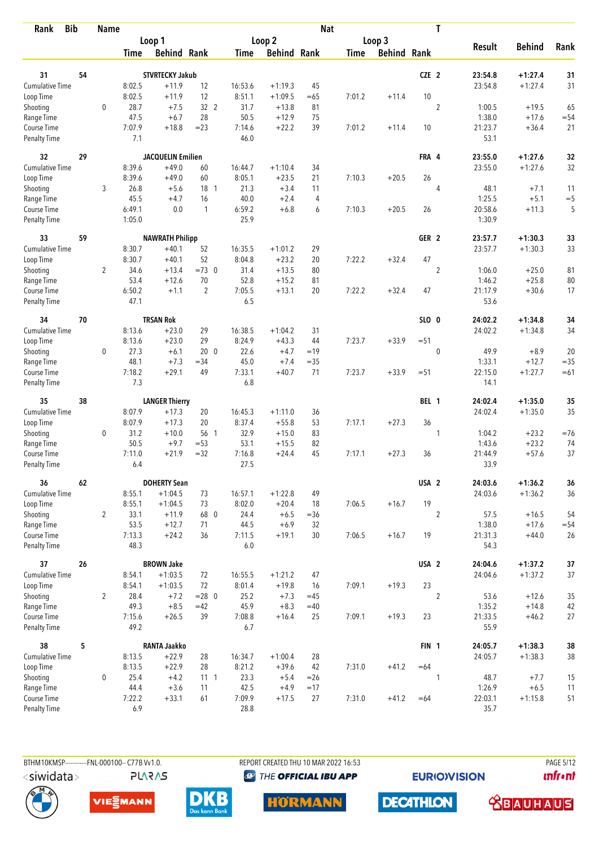| <b>Bib</b><br>Rank          |    | <b>Name</b>    |                |                          |                   |               |                    | <b>Nat</b>     |             |                    |                  | T              |                 |                    |          |
|-----------------------------|----|----------------|----------------|--------------------------|-------------------|---------------|--------------------|----------------|-------------|--------------------|------------------|----------------|-----------------|--------------------|----------|
|                             |    |                |                | Loop 1                   |                   |               | Loop 2             |                |             | Loop 3             |                  |                |                 |                    |          |
|                             |    |                | Time           | <b>Behind Rank</b>       |                   | Time          | <b>Behind Rank</b> |                | <b>Time</b> | <b>Behind Rank</b> |                  |                | <b>Result</b>   | <b>Behind</b>      | Rank     |
| 31                          | 54 |                |                | <b>STVRTECKY Jakub</b>   |                   |               |                    |                |             |                    | CZE <sub>2</sub> |                | 23:54.8         | $+1:27.4$          | 31       |
| <b>Cumulative Time</b>      |    |                | 8:02.5         | $+11.9$                  | 12                | 16:53.6       | $+1:19.3$          | 45             |             |                    |                  |                | 23:54.8         | $+1:27.4$          | 31       |
| Loop Time                   |    |                | 8:02.5         | $+11.9$                  | 12                | 8:51.1        | $+1:09.5$          | $=65$          | 7:01.2      | $+11.4$            | 10               |                |                 |                    |          |
| Shooting                    |    | $\mathbf 0$    | 28.7           | $+7.5$                   | 32 2              | 31.7          | $+13.8$            | 81             |             |                    |                  | $\overline{2}$ | 1:00.5          | $+19.5$            | 65       |
| Range Time                  |    |                | 47.5           | $+6.7$                   | 28                | 50.5          | $+12.9$            | 75             |             |                    |                  |                | 1:38.0          | $+17.6$            | $= 54$   |
| Course Time                 |    |                | 7:07.9         | $+18.8$                  | $= 23$            | 7:14.6        | $+22.2$            | 39             | 7:01.2      | $+11.4$            | 10               |                | 21:23.7         | $+36.4$            | 21       |
| <b>Penalty Time</b>         |    |                | 7.1            |                          |                   | 46.0          |                    |                |             |                    |                  |                | 53.1            |                    |          |
| 32                          | 29 |                |                | <b>JACQUELIN Emilien</b> |                   |               |                    |                |             |                    | FRA 4            |                | 23:55.0         | $+1:27.6$          | 32       |
| Cumulative Time             |    |                | 8:39.6         | $+49.0$                  | 60                | 16:44.7       | $+1:10.4$          | 34             |             |                    |                  |                | 23:55.0         | $+1:27.6$          | 32       |
| Loop Time                   |    |                | 8:39.6         | $+49.0$                  | 60                | 8:05.1        | $+23.5$            | 21             | 7:10.3      | $+20.5$            | 26               |                |                 |                    |          |
| Shooting                    |    | 3              | 26.8           | $+5.6$                   | $18-1$            | 21.3          | $+3.4$             | 11             |             |                    |                  | 4              | 48.1            | $+7.1$             | 11       |
| Range Time                  |    |                | 45.5           | $+4.7$                   | 16                | 40.0          | $+2.4$             | 4              |             |                    |                  |                | 1:25.5          | $+5.1$             | $= 5$    |
| Course Time                 |    |                | 6:49.1         | 0.0                      | $\mathbf{1}$      | 6:59.2        | $+6.8$             | 6              | 7:10.3      | $+20.5$            | 26               |                | 20:58.6         | $+11.3$            | 5        |
| Penalty Time                |    |                | 1:05.0         |                          |                   | 25.9          |                    |                |             |                    |                  |                | 1:30.9          |                    |          |
| 33                          | 59 |                |                | <b>NAWRATH Philipp</b>   |                   |               |                    |                |             |                    | GER <sub>2</sub> |                | 23:57.7         | $+1:30.3$          | 33       |
| <b>Cumulative Time</b>      |    |                | 8:30.7         | $+40.1$                  | 52                | 16:35.5       | $+1:01.2$          | 29             |             |                    |                  |                | 23:57.7         | $+1:30.3$          | 33       |
| Loop Time                   |    |                | 8:30.7         | $+40.1$                  | 52                | 8:04.8        | $+23.2$            | 20             | 7:22.2      | $+32.4$            | 47               |                |                 |                    |          |
| Shooting                    |    | $\overline{2}$ | 34.6           | $+13.4$                  | $=73$ 0           | 31.4          | $+13.5$            | 80             |             |                    |                  | $\overline{2}$ | 1:06.0          | $+25.0$            | 81       |
| Range Time                  |    |                | 53.4           | $+12.6$                  | 70                | 52.8          | $+15.2$            | 81             |             |                    |                  |                | 1:46.2          | $+25.8$            | $80\,$   |
| Course Time                 |    |                | 6:50.2         | $+1.1$                   | 2                 | 7:05.5        | $+13.1$            | 20             | 7:22.2      | $+32.4$            | 47               |                | 21:17.9         | $+30.6$            | 17       |
| <b>Penalty Time</b>         |    |                | 47.1           |                          |                   | 6.5           |                    |                |             |                    |                  |                | 53.6            |                    |          |
| 34                          | 70 |                |                | <b>TRSAN Rok</b>         |                   |               |                    |                |             |                    | SLO 0            |                | 24:02.2         | $+1:34.8$          | 34       |
| <b>Cumulative Time</b>      |    |                | 8:13.6         | $+23.0$                  | 29                | 16:38.5       | $+1:04.2$          | 31             |             |                    |                  |                | 24:02.2         | $+1:34.8$          | 34       |
| Loop Time                   |    |                | 8:13.6         | $+23.0$                  | 29                | 8:24.9        | $+43.3$            | 44             | 7:23.7      | $+33.9$            | $= 51$           |                |                 |                    |          |
| Shooting                    |    | 0              | 27.3           | $+6.1$                   | 20 <sub>0</sub>   | 22.6          | $+4.7$             | $=19$          |             |                    |                  | $\mathbf 0$    | 49.9            | $+8.9$             | 20       |
| Range Time                  |    |                | 48.1           | $+7.3$                   | $=34$             | 45.0          | $+7.4$             | $=35$          |             |                    |                  |                | 1:33.1          | $+12.7$            | $= 35$   |
| Course Time                 |    |                | 7:18.2         | $+29.1$                  | 49                | 7:33.1        | $+40.7$            | 71             | 7:23.7      | $+33.9$            | $= 51$           |                | 22:15.0         | $+1:27.7$          | $=61$    |
| <b>Penalty Time</b>         |    |                | 7.3            |                          |                   | 6.8           |                    |                |             |                    |                  |                | 14.1            |                    |          |
| 35                          | 38 |                |                | <b>LANGER Thierry</b>    |                   |               |                    |                |             |                    | BEL 1            |                | 24:02.4         | $+1:35.0$          | 35       |
| Cumulative Time             |    |                | 8:07.9         | $+17.3$                  | 20                | 16:45.3       | $+1:11.0$          | 36             |             |                    |                  |                | 24:02.4         | $+1:35.0$          | 35       |
| Loop Time                   |    |                | 8:07.9         | $+17.3$                  | 20                | 8:37.4        | $+55.8$            | 53             | 7:17.1      | $+27.3$            | 36               |                |                 |                    |          |
| Shooting                    |    | 0              | 31.2           | $+10.0$                  | 56 1              | 32.9          | $+15.0$            | 83             |             |                    |                  | 1              | 1:04.2          | $+23.2$            | $= 76$   |
| Range Time                  |    |                | 50.5           | $+9.7$                   | $= 53$            | 53.1          | $+15.5$            | 82             |             |                    |                  |                | 1:43.6          | $+23.2$            | 74       |
| Course Time                 |    |                | 7:11.0         | $+21.9$                  | $=32$             | 7:16.8        | $+24.4$            | 45             | 7:17.1      | $+27.3$            | 36               |                | 21:44.9         | $+57.6$            | 37       |
| <b>Penalty Time</b>         |    |                | 6.4            |                          |                   | 27.5          |                    |                |             |                    |                  |                | 33.9            |                    |          |
| 36                          | 62 |                |                | <b>DOHERTY Sean</b>      |                   |               |                    |                |             |                    | USA <sub>2</sub> |                | 24:03.6         | $+1:36.2$          | 36       |
| <b>Cumulative Time</b>      |    |                | 8:55.1         | $+1:04.5$                | 73                | 16:57.1       | $+1:22.8$          | 49             |             |                    |                  |                | 24:03.6         | $+1:36.2$          | 36       |
| Loop Time                   |    |                | 8:55.1         | $+1:04.5$                | 73                | 8:02.0        | $+20.4$            | 18             | 7:06.5      | $+16.7$            | 19               |                |                 |                    |          |
| Shooting                    |    | $\overline{2}$ | 33.1           | $+11.9$                  | 68 0              | 24.4          | $+6.5$             | $=36$          |             |                    |                  | $\overline{2}$ | 57.5            | $+16.5$            | 54       |
| Range Time                  |    |                | 53.5           | $+12.7$                  | 71                | 44.5          | $+6.9$             | 32             |             |                    |                  |                | 1:38.0          | $+17.6$            | $= 54$   |
| Course Time<br>Penalty Time |    |                | 7:13.3<br>48.3 | $+24.2$                  | 36                | 7:11.5<br>6.0 | $+19.1$            | 30             | 7:06.5      | $+16.7$            | 19               |                | 21:31.3<br>54.3 | $+44.0$            | 26       |
|                             |    |                |                |                          |                   |               |                    |                |             |                    |                  |                | 24:04.6         |                    |          |
| 37<br>Cumulative Time       | 26 |                |                | <b>BROWN Jake</b>        |                   |               |                    | 47             |             |                    | USA <sub>2</sub> |                |                 | $+1:37.2$          | $37$     |
|                             |    |                | 8:54.1         | $+1:03.5$                | 72<br>72          | 16:55.5       | $+1:21.2$          |                |             |                    | 23               |                | 24:04.6         | $+1:37.2$          | 37       |
| Loop Time                   |    |                | 8:54.1         | $+1:03.5$                |                   | 8:01.4        | $+19.8$            | 16             | 7:09.1      | $+19.3$            |                  |                |                 |                    |          |
| Shooting<br>Range Time      |    | $\overline{2}$ | 28.4<br>49.3   | $+7.2$<br>$+8.5$         | $= 28$ 0<br>$=42$ | 25.2<br>45.9  | $+7.3$<br>$+8.3$   | $=45$<br>$=40$ |             |                    |                  | $\overline{2}$ | 53.6<br>1:35.2  | $+12.6$<br>$+14.8$ | 35       |
| Course Time                 |    |                | 7:15.6         | $+26.5$                  | 39                | 7:08.8        | $+16.4$            | 25             | 7:09.1      | $+19.3$            | 23               |                | 21:33.5         | $+46.2$            | 42<br>27 |
| Penalty Time                |    |                | 49.2           |                          |                   | 6.7           |                    |                |             |                    |                  |                | 55.9            |                    |          |
| 38                          | 5  |                |                | <b>RANTA Jaakko</b>      |                   |               |                    |                |             |                    | FIN <sub>1</sub> |                | 24:05.7         | $+1:38.3$          | 38       |
| Cumulative Time             |    |                | 8:13.5         | $+22.9$                  | 28                | 16:34.7       | $+1:00.4$          | 28             |             |                    |                  |                | 24:05.7         | $+1:38.3$          | 38       |
| Loop Time                   |    |                | 8:13.5         | $+22.9$                  | 28                | 8:21.2        | $+39.6$            | 42             | 7:31.0      | $+41.2$            | $=64$            |                |                 |                    |          |
| Shooting                    |    | 0              | 25.4           | $+4.2$                   | $11 \quad 1$      | 23.3          | $+5.4$             | $=26$          |             |                    |                  | 1              | 48.7            | $+7.7$             | 15       |
| Range Time                  |    |                | 44.4           | $+3.6$                   | 11                | 42.5          | $+4.9$             | $=17$          |             |                    |                  |                | 1:26.9          | $+6.5$             | 11       |
| Course Time                 |    |                | 7:22.2         | $+33.1$                  | 61                | 7:09.9        | $+17.5$            | 27             | 7:31.0      | $+41.2$            | $=64$            |                | 22:03.1         | $+1:15.8$          | 51       |
| <b>Penalty Time</b>         |    |                | $6.9$          |                          |                   | 28.8          |                    |                |             |                    |                  |                | 35.7            |                    |          |

**PLARAS** 

BTHM10KMSP-----------FNL-000100-- C77B Vv1.0. REPORT CREATED THU 10 MAR 2022 16:53 PAGE 5/12

<sup><sup>9</sup> THE OFFICIAL IBU APP</sup>

**EURIOVISION** 

*<u><u>Infront</u>*</u>







**DECATHLON HORMANN** 

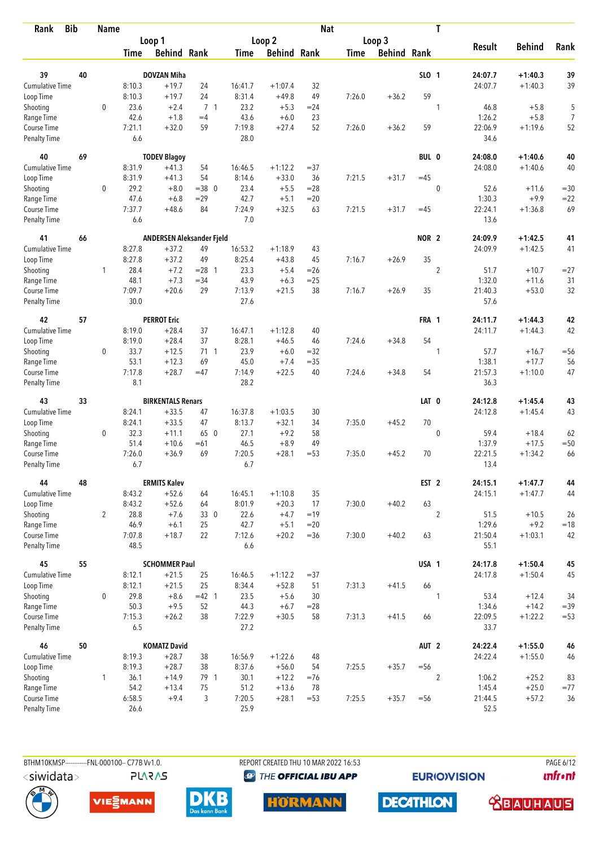| Rank                        | <b>Bib</b> | <b>Name</b>    |                |                           |                |               |                    | <b>Nat</b> |             |                    |                  | T              |                 |               |        |
|-----------------------------|------------|----------------|----------------|---------------------------|----------------|---------------|--------------------|------------|-------------|--------------------|------------------|----------------|-----------------|---------------|--------|
|                             |            |                |                | Loop 1                    |                |               | Loop 2             |            |             | Loop 3             |                  |                |                 |               |        |
|                             |            |                | Time           | <b>Behind Rank</b>        |                | Time          | <b>Behind Rank</b> |            | <b>Time</b> | <b>Behind Rank</b> |                  |                | <b>Result</b>   | <b>Behind</b> | Rank   |
| 39                          | 40         |                |                | <b>DOVZAN Miha</b>        |                |               |                    |            |             |                    | SLO 1            |                | 24:07.7         | $+1:40.3$     | 39     |
| <b>Cumulative Time</b>      |            |                | 8:10.3         | $+19.7$                   | 24             | 16:41.7       | $+1:07.4$          | 32         |             |                    |                  |                | 24:07.7         | $+1:40.3$     | 39     |
| Loop Time                   |            |                | 8:10.3         | $+19.7$                   | 24             | 8:31.4        | $+49.8$            | 49         | 7:26.0      | $+36.2$            | 59               |                |                 |               |        |
|                             |            | $\mathbf 0$    | 23.6           | $+2.4$                    | 7 <sub>1</sub> | 23.2          | $+5.3$             | $= 24$     |             |                    |                  | 1              | 46.8            | $+5.8$        | 5      |
| Shooting<br>Range Time      |            |                | 42.6           | $+1.8$                    | $=4$           | 43.6          | $+6.0$             | 23         |             |                    |                  |                | 1:26.2          | $+5.8$        | 7      |
| Course Time                 |            |                | 7:21.1         | $+32.0$                   | 59             | 7:19.8        | $+27.4$            | 52         | 7:26.0      | $+36.2$            | 59               |                | 22:06.9         | $+1:19.6$     | 52     |
| <b>Penalty Time</b>         |            |                | 6.6            |                           |                | 28.0          |                    |            |             |                    |                  |                | 34.6            |               |        |
| 40                          | 69         |                |                | <b>TODEV Blagoy</b>       |                |               |                    |            |             |                    | BUL 0            |                | 24:08.0         | $+1:40.6$     | 40     |
| Cumulative Time             |            |                | 8:31.9         | $+41.3$                   | 54             | 16:46.5       | $+1:12.2$          | $= 37$     |             |                    |                  |                | 24:08.0         | $+1:40.6$     | 40     |
| Loop Time                   |            |                | 8:31.9         | $+41.3$                   | 54             | 8:14.6        | $+33.0$            | 36         | 7:21.5      | $+31.7$            | $=45$            |                |                 |               |        |
| Shooting                    |            | 0              | 29.2           | $+8.0$                    | $=38$ 0        | 23.4          | $+5.5$             | $= 28$     |             |                    |                  | $\mathbf 0$    | 52.6            | $+11.6$       | $=30$  |
| Range Time                  |            |                | 47.6           | $+6.8$                    | $=29$          | 42.7          | $+5.1$             | $= 20$     |             |                    |                  |                | 1:30.3          | $+9.9$        | $= 22$ |
| Course Time                 |            |                | 7:37.7         | $+48.6$                   | 84             | 7:24.9        | $+32.5$            | 63         | 7:21.5      | $+31.7$            | $=45$            |                | 22:24.1         | $+1:36.8$     | 69     |
| Penalty Time                |            |                | 6.6            |                           |                | 7.0           |                    |            |             |                    |                  |                | 13.6            |               |        |
| 41                          | 66         |                |                | ANDERSEN Aleksander Fjeld |                |               |                    |            |             |                    | NOR <sub>2</sub> |                | 24:09.9         | $+1:42.5$     | 41     |
| Cumulative Time             |            |                | 8:27.8         | $+37.2$                   | 49             | 16:53.2       | $+1:18.9$          | 43         |             |                    |                  |                | 24:09.9         | $+1:42.5$     | 41     |
| Loop Time                   |            |                | 8:27.8         | $+37.2$                   | 49             | 8:25.4        | $+43.8$            | 45         | 7:16.7      | $+26.9$            | 35               |                |                 |               |        |
| Shooting                    |            | 1              | 28.4           | $+7.2$                    | $= 28$ 1       | 23.3          | $+5.4$             | $= 26$     |             |                    |                  | $\overline{c}$ | 51.7            | $+10.7$       | $= 27$ |
| Range Time                  |            |                | 48.1           | $+7.3$                    | $=34$          | 43.9          | $+6.3$             | $= 25$     |             |                    |                  |                | 1:32.0          | $+11.6$       | 31     |
| Course Time                 |            |                | 7:09.7         | $+20.6$                   | 29             | 7:13.9        | $+21.5$            | 38         | 7:16.7      | $+26.9$            | 35               |                | 21:40.3         | $+53.0$       | 32     |
| <b>Penalty Time</b>         |            |                | 30.0           |                           |                | 27.6          |                    |            |             |                    |                  |                | 57.6            |               |        |
| 42                          | 57         |                |                | <b>PERROT Eric</b>        |                |               |                    |            |             |                    | FRA 1            |                | 24:11.7         | $+1:44.3$     | 42     |
| Cumulative Time             |            |                | 8:19.0         | $+28.4$                   | 37             | 16:47.1       | $+1:12.8$          | 40         |             |                    |                  |                | 24:11.7         | $+1:44.3$     | 42     |
| Loop Time                   |            |                | 8:19.0         | $+28.4$                   | 37             | 8:28.1        | $+46.5$            | 46         | 7:24.6      | $+34.8$            | 54               |                |                 |               |        |
| Shooting                    |            | 0              | 33.7           | $+12.5$                   | $71 \quad 1$   | 23.9          | $+6.0$             | $=32$      |             |                    |                  | 1              | 57.7            | $+16.7$       | $= 56$ |
| Range Time                  |            |                | 53.1           | $+12.3$                   | 69             | 45.0          | $+7.4$             | $= 35$     |             |                    |                  |                | 1:38.1          | $+17.7$       | 56     |
| Course Time                 |            |                | 7:17.8         | $+28.7$                   | $=47$          | 7:14.9        | $+22.5$            | 40         | 7:24.6      | $+34.8$            | 54               |                | 21:57.3         | $+1:10.0$     | 47     |
| <b>Penalty Time</b>         |            |                | 8.1            |                           |                | 28.2          |                    |            |             |                    |                  |                | 36.3            |               |        |
| 43                          | 33         |                |                | <b>BIRKENTALS Renars</b>  |                |               |                    |            |             |                    | LAT 0            |                | 24:12.8         | $+1:45.4$     | 43     |
| Cumulative Time             |            |                | 8:24.1         | $+33.5$                   | 47             | 16:37.8       | $+1:03.5$          | 30         |             |                    |                  |                | 24:12.8         | $+1:45.4$     | 43     |
| Loop Time                   |            |                | 8:24.1         | $+33.5$                   | 47             | 8:13.7        | $+32.1$            | 34         | 7:35.0      | $+45.2$            | 70               |                |                 |               |        |
| Shooting                    |            | 0              | 32.3           | $+11.1$                   | 65 0           | 27.1          | $+9.2$             | 58         |             |                    |                  | $\mathbf 0$    | 59.4            | $+18.4$       | 62     |
| Range Time                  |            |                | 51.4           | $+10.6$                   | $=61$          | 46.5          | $+8.9$             | 49         |             |                    |                  |                | 1:37.9          | $+17.5$       | $=50$  |
| Course Time                 |            |                | 7:26.0         | $+36.9$                   | 69             | 7:20.5        | $+28.1$            | $= 53$     | 7:35.0      | $+45.2$            | 70               |                | 22:21.5         | $+1:34.2$     | 66     |
| <b>Penalty Time</b>         |            |                | 6.7            |                           |                | 6.7           |                    |            |             |                    |                  |                | 13.4            |               |        |
| 44                          | 48         |                |                | <b>ERMITS Kalev</b>       |                |               |                    |            |             |                    | EST <sub>2</sub> |                | 24:15.1         | $+1:47.7$     | 44     |
| <b>Cumulative Time</b>      |            |                | 8:43.2         | $+52.6$                   | 64             | 16:45.1       | $+1:10.8$          | 35         |             |                    |                  |                | 24:15.1         | $+1:47.7$     | 44     |
| Loop Time                   |            |                | 8:43.2         | $+52.6$                   | 64             | 8:01.9        | $+20.3$            | 17         | 7:30.0      | $+40.2$            | 63               |                |                 |               |        |
| Shooting                    |            | $\overline{2}$ | 28.8           | $+7.6$                    | 33 0           | 22.6          | $+4.7$             | $=19$      |             |                    |                  | $\overline{2}$ | 51.5            | $+10.5$       | 26     |
| Range Time                  |            |                | 46.9           | $+6.1$                    | 25             | 42.7          | $+5.1$             | $= 20$     |             |                    |                  |                | 1:29.6          | $+9.2$        | $=18$  |
| Course Time<br>Penalty Time |            |                | 7:07.8<br>48.5 | $+18.7$                   | 22             | 7:12.6<br>6.6 | $+20.2$            | $= 36$     | 7:30.0      | $+40.2$            | 63               |                | 21:50.4<br>55.1 | $+1:03.1$     | 42     |
| 45                          | 55         |                |                | <b>SCHOMMER Paul</b>      |                |               |                    |            |             |                    | USA 1            |                | 24:17.8         | $+1:50.4$     | 45     |
| <b>Cumulative Time</b>      |            |                | 8:12.1         | $+21.5$                   | 25             | 16:46.5       | $+1:12.2$          | $= 37$     |             |                    |                  |                | 24:17.8         | $+1:50.4$     | 45     |
| Loop Time                   |            |                | 8:12.1         | $+21.5$                   | 25             | 8:34.4        | $+52.8$            | 51         | 7:31.3      | $+41.5$            | 66               |                |                 |               |        |
| Shooting                    |            | 0              | 29.8           | $+8.6$                    | $=42$ 1        | 23.5          | $+5.6$             | 30         |             |                    |                  | $\mathbf{1}$   | 53.4            | $+12.4$       | 34     |
| Range Time                  |            |                | 50.3           | $+9.5$                    | 52             | 44.3          | $+6.7$             | $= 28$     |             |                    |                  |                | 1:34.6          | $+14.2$       | $= 39$ |
| Course Time                 |            |                | 7:15.3         | $+26.2$                   | 38             | 7:22.9        | $+30.5$            | 58         | 7:31.3      | $+41.5$            | 66               |                | 22:09.5         | $+1:22.2$     | $= 53$ |
| Penalty Time                |            |                | 6.5            |                           |                | 27.2          |                    |            |             |                    |                  |                | 33.7            |               |        |
| 46                          | 50         |                |                | <b>KOMATZ David</b>       |                |               |                    |            |             |                    | AUT <sub>2</sub> |                | 24:22.4         | $+1:55.0$     | 46     |
| <b>Cumulative Time</b>      |            |                | 8:19.3         | $+28.7$                   | 38             | 16:56.9       | $+1:22.6$          | 48         |             |                    |                  |                | 24:22.4         | $+1:55.0$     | 46     |
| Loop Time                   |            |                | 8:19.3         | $+28.7$                   | 38             | 8:37.6        | $+56.0$            | 54         | 7:25.5      | $+35.7$            | $=56$            |                |                 |               |        |
| Shooting                    |            | $\mathbf{1}$   | 36.1           | $+14.9$                   | 79 1           | 30.1          | $+12.2$            | $=76$      |             |                    |                  | $\overline{2}$ | 1:06.2          | $+25.2$       | 83     |
| Range Time                  |            |                | 54.2           | $+13.4$                   | 75             | 51.2          | $+13.6$            | 78         |             |                    |                  |                | 1:45.4          | $+25.0$       | $= 77$ |
| Course Time                 |            |                | 6:58.5         | $+9.4$                    | 3              | 7:20.5        | $+28.1$            | $= 53$     | 7:25.5      | $+35.7$            | $= 56$           |                | 21:44.5         | $+57.2$       | 36     |
| Penalty Time                |            |                | 26.6           |                           |                | 25.9          |                    |            |             |                    |                  |                | 52.5            |               |        |

BTHM10KMSP------------FNL-000100-- C77B Vv1.0. <siwidata>

**PLARAS** 

REPORT CREATED THU 10 MAR 2022 16:53 <sup><sup>9</sup> THE OFFICIAL IBU APP</sup>

**EURIOVISION** 

PAGE 6/12 *<u><u>Infront</u>*</u>







**HORMANN** 



 **<u>CBAUHAUS</u>**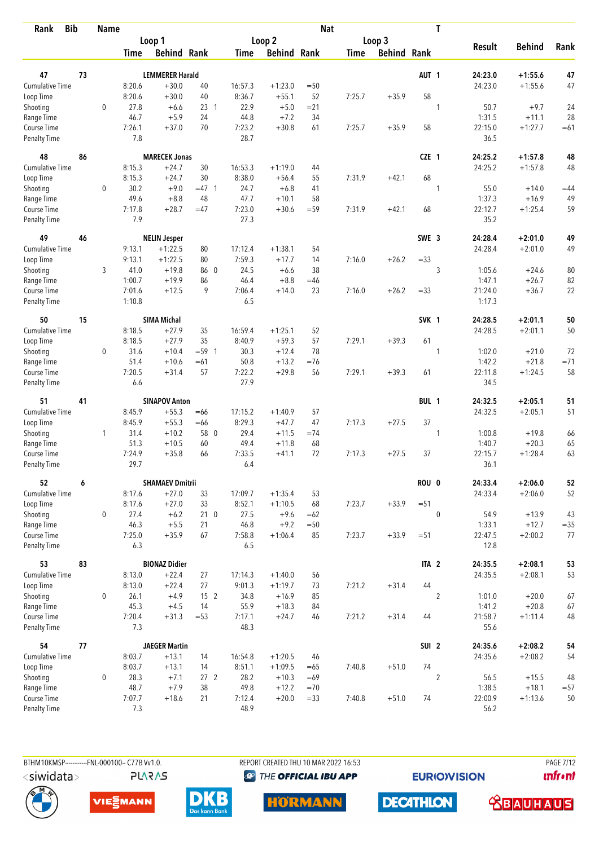| <b>Bib</b><br>Rank          |    | <b>Name</b> |               |                        |                 |               |                    | <b>Nat</b> |             |                    |                  | T              |                 |               |        |
|-----------------------------|----|-------------|---------------|------------------------|-----------------|---------------|--------------------|------------|-------------|--------------------|------------------|----------------|-----------------|---------------|--------|
|                             |    |             |               | Loop 1                 |                 |               | Loop 2             |            |             | Loop 3             |                  |                |                 |               |        |
|                             |    |             | Time          | <b>Behind Rank</b>     |                 | Time          | <b>Behind Rank</b> |            | <b>Time</b> | <b>Behind Rank</b> |                  |                | <b>Result</b>   | <b>Behind</b> | Rank   |
| 47                          | 73 |             |               | <b>LEMMERER Harald</b> |                 |               |                    |            |             |                    | AUT <sub>1</sub> |                | 24:23.0         | $+1:55.6$     | 47     |
| <b>Cumulative Time</b>      |    |             | 8:20.6        | $+30.0$                | 40              | 16:57.3       | $+1:23.0$          | $=50$      |             |                    |                  |                | 24:23.0         | $+1:55.6$     | 47     |
| Loop Time                   |    |             | 8:20.6        | $+30.0$                | 40              | 8:36.7        | $+55.1$            | 52         | 7:25.7      | $+35.9$            | 58               |                |                 |               |        |
| Shooting                    |    | $\mathbf 0$ | 27.8          | $+6.6$                 | 23 1            | 22.9          | $+5.0$             | $= 21$     |             |                    |                  | 1              | 50.7            | $+9.7$        | 24     |
| Range Time                  |    |             | 46.7          | $+5.9$                 | 24              | 44.8          | $+7.2$             | 34         |             |                    |                  |                | 1:31.5          | $+11.1$       | 28     |
| Course Time                 |    |             | 7:26.1        | $+37.0$                | 70              | 7:23.2        | $+30.8$            | 61         | 7:25.7      | $+35.9$            | 58               |                | 22:15.0         | $+1:27.7$     | $=61$  |
| <b>Penalty Time</b>         |    |             | 7.8           |                        |                 | 28.7          |                    |            |             |                    |                  |                | 36.5            |               |        |
| 48                          | 86 |             |               | <b>MARECEK Jonas</b>   |                 |               |                    |            |             |                    | CZE 1            |                | 24:25.2         | $+1:57.8$     | 48     |
| Cumulative Time             |    |             | 8:15.3        | $+24.7$                | 30              | 16:53.3       | $+1:19.0$          | 44         |             |                    |                  |                | 24:25.2         | $+1:57.8$     | 48     |
| Loop Time                   |    |             | 8:15.3        | $+24.7$                | 30              | 8:38.0        | $+56.4$            | 55         | 7:31.9      | $+42.1$            | 68               |                |                 |               |        |
| Shooting                    |    | 0           | 30.2          | $+9.0$                 | $=47$ 1         | 24.7          | $+6.8$             | 41         |             |                    |                  | 1              | 55.0            | $+14.0$       | $=44$  |
| Range Time                  |    |             | 49.6          | $+8.8$                 | 48              | 47.7          | $+10.1$            | 58         |             |                    |                  |                | 1:37.3          | $+16.9$       | 49     |
| Course Time                 |    |             | 7:17.8        | $+28.7$                | $=47$           | 7:23.0        | $+30.6$            | $= 59$     | 7:31.9      | $+42.1$            | 68               |                | 22:12.7         | $+1:25.4$     | 59     |
| Penalty Time                |    |             | 7.9           |                        |                 | 27.3          |                    |            |             |                    |                  |                | 35.2            |               |        |
| 49                          | 46 |             |               | <b>NELIN Jesper</b>    |                 |               |                    |            |             |                    | SWE 3            |                | 24:28.4         | $+2:01.0$     | 49     |
| Cumulative Time             |    |             | 9:13.1        | $+1:22.5$              | 80              | 17:12.4       | $+1:38.1$          | 54         |             |                    |                  |                | 24:28.4         | $+2:01.0$     | 49     |
| Loop Time                   |    |             | 9:13.1        | $+1:22.5$              | 80              | 7:59.3        | $+17.7$            | 14         | 7:16.0      | $+26.2$            | $= 33$           |                |                 |               |        |
| Shooting                    |    | 3           | 41.0          | $+19.8$                | 86 0            | 24.5          | $+6.6$             | 38         |             |                    |                  | 3              | 1:05.6          | $+24.6$       | 80     |
| Range Time                  |    |             | 1:00.7        | $+19.9$                | 86              | 46.4          | $+8.8$             | $=46$      |             |                    |                  |                | 1:47.1          | $+26.7$       | 82     |
| Course Time                 |    |             | 7:01.6        | $+12.5$                | 9               | 7:06.4        | $+14.0$            | 23         | 7:16.0      | $+26.2$            | $= 33$           |                | 21:24.0         | $+36.7$       | 22     |
| <b>Penalty Time</b>         |    |             | 1:10.8        |                        |                 | 6.5           |                    |            |             |                    |                  |                | 1:17.3          |               |        |
| 50                          | 15 |             |               | <b>SIMA Michal</b>     |                 |               |                    |            |             |                    | SVK 1            |                | 24:28.5         | $+2:01.1$     | 50     |
| <b>Cumulative Time</b>      |    |             | 8:18.5        | $+27.9$                | 35              | 16:59.4       | $+1:25.1$          | 52         |             |                    |                  |                | 24:28.5         | $+2:01.1$     | 50     |
| Loop Time                   |    |             | 8:18.5        | $+27.9$                | 35              | 8:40.9        | $+59.3$            | 57         | 7:29.1      | $+39.3$            | 61               |                |                 |               |        |
| Shooting                    |    | 0           | 31.6          | $+10.4$                | $= 59 \quad 1$  | 30.3          | $+12.4$            | 78         |             |                    |                  | 1              | 1:02.0          | $+21.0$       | 72     |
| Range Time                  |    |             | 51.4          | $+10.6$                | $=61$           | 50.8          | $+13.2$            | $=76$      |             |                    |                  |                | 1:42.2          | $+21.8$       | $= 71$ |
| Course Time                 |    |             | 7:20.5        | $+31.4$                | 57              | 7:22.2        | $+29.8$            | 56         | 7:29.1      | $+39.3$            | 61               |                | 22:11.8         | $+1:24.5$     | 58     |
| <b>Penalty Time</b>         |    |             | 6.6           |                        |                 | 27.9          |                    |            |             |                    |                  |                | 34.5            |               |        |
| 51                          | 41 |             |               | <b>SINAPOV Anton</b>   |                 |               |                    |            |             |                    | BUL 1            |                | 24:32.5         | $+2:05.1$     | 51     |
| <b>Cumulative Time</b>      |    |             | 8:45.9        | $+55.3$                | $=66$           | 17:15.2       | $+1:40.9$          | 57         |             |                    |                  |                | 24:32.5         | $+2:05.1$     | 51     |
| Loop Time                   |    |             | 8:45.9        | $+55.3$                | $=66$           | 8:29.3        | $+47.7$            | 47         | 7:17.3      | $+27.5$            | 37               |                |                 |               |        |
| Shooting                    |    | 1           | 31.4          | $+10.2$                | 58 0            | 29.4          | $+11.5$            | $=74$      |             |                    |                  | 1              | 1:00.8          | $+19.8$       | 66     |
| Range Time                  |    |             | 51.3          | $+10.5$                | 60              | 49.4          | $+11.8$            | 68         |             |                    |                  |                | 1:40.7          | $+20.3$       | 65     |
| Course Time                 |    |             | 7:24.9        | $+35.8$                | 66              | 7:33.5        | $+41.1$            | 72         | 7:17.3      | $+27.5$            | 37               |                | 22:15.7         | $+1:28.4$     | 63     |
| Penalty Time                |    |             | 29.7          |                        |                 | 6.4           |                    |            |             |                    |                  |                | 36.1            |               |        |
| 52                          | 6  |             |               | <b>SHAMAEV Dmitrii</b> |                 |               |                    |            |             |                    | ROU 0            |                | 24:33.4         | $+2:06.0$     | 52     |
| Cumulative Time             |    |             | 8:17.6        | $+27.0$                | 33              | 17:09.7       | $+1:35.4$          | 53         |             |                    |                  |                | 24:33.4         | $+2:06.0$     | 52     |
| Loop Time                   |    |             | 8:17.6        | $+27.0$                | 33              | 8:52.1        | $+1:10.5$          | 68         | 7:23.7      | $+33.9$            | $= 51$           |                |                 |               |        |
| Shooting                    |    | 0           | 27.4          | $+6.2$                 | 21 <sub>0</sub> | 27.5          | $+9.6$             | $=62$      |             |                    |                  | $\mathbf{0}$   | 54.9            | $+13.9$       | 43     |
| Range Time                  |    |             | 46.3          | $+5.5$                 | 21              | 46.8          | $+9.2$             | $=50$      |             |                    |                  |                | 1:33.1          | $+12.7$       | $= 35$ |
| Course Time<br>Penalty Time |    |             | 7:25.0<br>6.3 | $+35.9$                | 67              | 7:58.8<br>6.5 | $+1:06.4$          | 85         | 7:23.7      | $+33.9$            | $= 51$           |                | 22:47.5<br>12.8 | $+2:00.2$     | 77     |
| 53                          | 83 |             |               | <b>BIONAZ Didier</b>   |                 |               |                    |            |             |                    | ITA <sub>2</sub> |                | 24:35.5         | $+2:08.1$     | 53     |
| Cumulative Time             |    |             | 8:13.0        | $+22.4$                | 27              | 17:14.3       | $+1:40.0$          | 56         |             |                    |                  |                | 24:35.5         | $+2:08.1$     | 53     |
| Loop Time                   |    |             | 8:13.0        | $+22.4$                | 27              | 9:01.3        | $+1:19.7$          | 73         | 7:21.2      | $+31.4$            | 44               |                |                 |               |        |
| Shooting                    |    | 0           | 26.1          | $+4.9$                 | 15 <sub>2</sub> | 34.8          | $+16.9$            | 85         |             |                    |                  | $\overline{2}$ | 1:01.0          | $+20.0$       | 67     |
| Range Time                  |    |             | 45.3          | $+4.5$                 | 14              | 55.9          | $+18.3$            | 84         |             |                    |                  |                | 1:41.2          | $+20.8$       | 67     |
| Course Time                 |    |             | 7:20.4        | $+31.3$                | $= 53$          | 7:17.1        | $+24.7$            | 46         | 7:21.2      | $+31.4$            | 44               |                | 21:58.7         | $+1:11.4$     | 48     |
| Penalty Time                |    |             | 7.3           |                        |                 | 48.3          |                    |            |             |                    |                  |                | 55.6            |               |        |
| 54                          | 77 |             |               | <b>JAEGER Martin</b>   |                 |               |                    |            |             |                    | SUI <sub>2</sub> |                | 24:35.6         | $+2:08.2$     | 54     |
| <b>Cumulative Time</b>      |    |             | 8:03.7        | $+13.1$                | 14              | 16:54.8       | $+1:20.5$          | 46         |             |                    |                  |                | 24:35.6         | $+2:08.2$     | 54     |
| Loop Time                   |    |             | 8:03.7        | $+13.1$                | 14              | 8:51.1        | $+1:09.5$          | $=65$      | 7:40.8      | $+51.0$            | 74               |                |                 |               |        |
| Shooting                    |    | 0           | 28.3          | $+7.1$                 | 27 <sub>2</sub> | 28.2          | $+10.3$            | $=69$      |             |                    |                  | $\overline{c}$ | 56.5            | $+15.5$       | 48     |
| Range Time                  |    |             | 48.7          | $+7.9$                 | 38              | 49.8          | $+12.2$            | $=70$      |             |                    |                  |                | 1:38.5          | $+18.1$       | $= 57$ |
| Course Time                 |    |             | 7:07.7        | $+18.6$                | 21              | 7:12.4        | $+20.0$            | $= 33$     | 7:40.8      | $+51.0$            | 74               |                | 22:00.9         | $+1:13.6$     | 50     |
| <b>Penalty Time</b>         |    |             | 7.3           |                        |                 | 48.9          |                    |            |             |                    |                  |                | 56.2            |               |        |

**PLARAS** 

BTHM10KMSP-----------FNL-000100-- C77B Vv1.0. REPORT CREATED THU 10 MAR 2022 16:53 PAGE 7/12 <sup><sup>9</sup> THE OFFICIAL IBU APP</sup>

**EURIOVISION** 

*<u><u>Infront</u>*</u>







**HORMANN** 



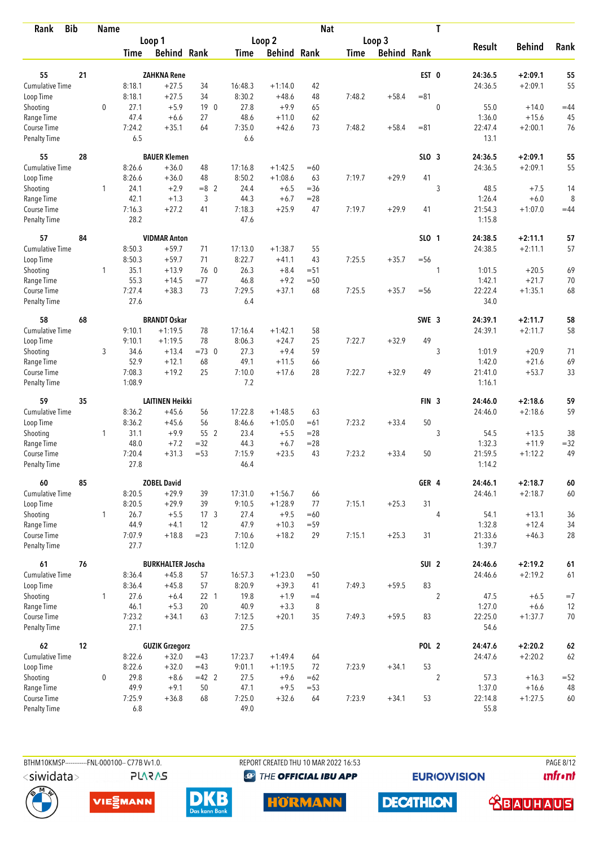| Rank                               | <b>Bib</b> | <b>Name</b>  |                |                          |                 |                |                    | <b>Nat</b> |             |                    |                  | T              |                   |               |        |
|------------------------------------|------------|--------------|----------------|--------------------------|-----------------|----------------|--------------------|------------|-------------|--------------------|------------------|----------------|-------------------|---------------|--------|
|                                    |            |              |                | Loop 1                   |                 |                | Loop 2             |            |             | Loop 3             |                  |                |                   |               |        |
|                                    |            |              | Time           | <b>Behind Rank</b>       |                 | Time           | <b>Behind Rank</b> |            | <b>Time</b> | <b>Behind Rank</b> |                  |                | <b>Result</b>     | <b>Behind</b> | Rank   |
| 55                                 | 21         |              |                | <b>ZAHKNA Rene</b>       |                 |                |                    |            |             |                    | EST 0            |                | 24:36.5           | $+2:09.1$     | 55     |
| <b>Cumulative Time</b>             |            |              | 8:18.1         | $+27.5$                  | 34              | 16:48.3        | $+1:14.0$          | 42         |             |                    |                  |                | 24:36.5           | $+2:09.1$     | 55     |
| Loop Time                          |            |              | 8:18.1         | $+27.5$                  | 34              | 8:30.2         | $+48.6$            | 48         | 7:48.2      | $+58.4$            | $= 81$           |                |                   |               |        |
| Shooting                           |            | $\mathbf 0$  | 27.1           | $+5.9$                   | 19 <sup>0</sup> | 27.8           | $+9.9$             | 65         |             |                    |                  | $\mathbf 0$    | 55.0              | $+14.0$       | $=44$  |
| Range Time                         |            |              | 47.4           | $+6.6$                   | 27              | 48.6           | $+11.0$            | 62         |             |                    |                  |                | 1:36.0            | $+15.6$       | 45     |
| Course Time                        |            |              | 7:24.2         | $+35.1$                  | 64              | 7:35.0         | $+42.6$            | 73         | 7:48.2      | $+58.4$            | $= 81$           |                | 22:47.4           | $+2:00.1$     | 76     |
| <b>Penalty Time</b>                |            |              | 6.5            |                          |                 | 6.6            |                    |            |             |                    |                  |                | 13.1              |               |        |
| 55                                 | 28         |              |                | <b>BAUER Klemen</b>      |                 |                |                    |            |             |                    | SLO <sub>3</sub> |                | 24:36.5           | $+2:09.1$     | 55     |
| Cumulative Time                    |            |              | 8:26.6         | $+36.0$                  | 48              | 17:16.8        | $+1:42.5$          | $=60$      |             |                    |                  |                | 24:36.5           | $+2:09.1$     | 55     |
| Loop Time                          |            |              | 8:26.6         | $+36.0$                  | 48              | 8:50.2         | $+1:08.6$          | 63         | 7:19.7      | $+29.9$            | 41               |                |                   |               |        |
| Shooting                           |            | 1            | 24.1           | $+2.9$                   | $=8$ 2          | 24.4           | $+6.5$             | $=36$      |             |                    |                  | 3              | 48.5              | $+7.5$        | 14     |
| Range Time                         |            |              | 42.1           | $+1.3$                   | 3               | 44.3           | $+6.7$             | $= 28$     |             |                    |                  |                | 1:26.4            | $+6.0$        | 8      |
| Course Time                        |            |              | 7:16.3         | $+27.2$                  | 41              | 7:18.3         | $+25.9$            | 47         | 7:19.7      | $+29.9$            | 41               |                | 21:54.3           | $+1:07.0$     | $=44$  |
| <b>Penalty Time</b>                |            |              | 28.2           |                          |                 | 47.6           |                    |            |             |                    |                  |                | 1:15.8            |               |        |
| 57                                 | 84         |              |                | <b>VIDMAR Anton</b>      |                 |                |                    |            |             |                    | SLO 1            |                | 24:38.5           | $+2:11.1$     | 57     |
| <b>Cumulative Time</b>             |            |              | 8:50.3         | $+59.7$                  | 71              | 17:13.0        | $+1:38.7$          | 55         |             |                    |                  |                | 24:38.5           | $+2:11.1$     | 57     |
| Loop Time                          |            |              | 8:50.3         | $+59.7$                  | 71              | 8:22.7         | $+41.1$            | 43         | 7:25.5      | $+35.7$            | $=$ 56           |                |                   |               |        |
| Shooting                           |            | $\mathbf{1}$ | 35.1           | $+13.9$                  | 76 0            | 26.3           | $+8.4$             | $= 51$     |             |                    |                  | 1              | 1:01.5            | $+20.5$       | 69     |
| Range Time                         |            |              | 55.3           | $+14.5$                  | $= 77$          | 46.8           | $+9.2$             | $=50$      |             |                    |                  |                | 1:42.1            | $+21.7$       | 70     |
| Course Time<br>Penalty Time        |            |              | 7:27.4<br>27.6 | $+38.3$                  | 73              | 7:29.5<br>6.4  | $+37.1$            | 68         | 7:25.5      | $+35.7$            | $= 56$           |                | 22:22.4<br>34.0   | $+1:35.1$     | 68     |
| 58                                 | 68         |              |                | <b>BRANDT Oskar</b>      |                 |                |                    |            |             |                    | SWE <sub>3</sub> |                | 24:39.1           | $+2:11.7$     | 58     |
| <b>Cumulative Time</b>             |            |              | 9:10.1         | $+1:19.5$                | 78              | 17:16.4        | $+1:42.1$          | 58         |             |                    |                  |                | 24:39.1           | $+2:11.7$     | 58     |
| Loop Time                          |            |              | 9:10.1         | $+1:19.5$                | 78              | 8:06.3         | $+24.7$            | 25         | 7:22.7      | $+32.9$            | 49               |                |                   |               |        |
| Shooting                           |            | 3            | 34.6           | $+13.4$                  | $=73$ 0         | 27.3           | $+9.4$             | 59         |             |                    |                  | 3              | 1:01.9            | $+20.9$       | 71     |
| Range Time                         |            |              | 52.9           | $+12.1$                  | 68              | 49.1           | $+11.5$            | 66         |             |                    |                  |                | 1:42.0            | $+21.6$       | 69     |
| Course Time                        |            |              | 7:08.3         | $+19.2$                  | 25              | 7:10.0         | $+17.6$            | 28         | 7:22.7      | $+32.9$            | 49               |                | 21:41.0           | $+53.7$       | 33     |
| <b>Penalty Time</b>                |            |              | 1:08.9         |                          |                 | 7.2            |                    |            |             |                    |                  |                | 1:16.1            |               |        |
| 59                                 | 35         |              |                | <b>LAITINEN Heikki</b>   |                 |                |                    |            |             |                    | FIN <sub>3</sub> |                | 24:46.0           | $+2:18.6$     | 59     |
| <b>Cumulative Time</b>             |            |              | 8:36.2         | $+45.6$                  | 56              | 17:22.8        | $+1:48.5$          | 63         |             |                    |                  |                | 24:46.0           | $+2:18.6$     | 59     |
| Loop Time                          |            |              | 8:36.2         | $+45.6$                  | 56              | 8:46.6         | $+1:05.0$          | $=61$      | 7:23.2      | $+33.4$            | 50               |                |                   |               |        |
| Shooting                           |            | 1            | 31.1           | $+9.9$                   | 55 2            | 23.4           | $+5.5$             | $=28$      |             |                    |                  | 3              | 54.5              | $+13.5$       | 38     |
| Range Time                         |            |              | 48.0           | $+7.2$                   | $=32$           | 44.3           | $+6.7$             | $= 28$     |             |                    |                  |                | 1:32.3            | $+11.9$       | $= 32$ |
| Course Time<br><b>Penalty Time</b> |            |              | 7:20.4<br>27.8 | $+31.3$                  | $= 53$          | 7:15.9<br>46.4 | $+23.5$            | 43         | 7:23.2      | $+33.4$            | 50               |                | 21:59.5<br>1:14.2 | $+1:12.2$     | 49     |
| 60                                 | 85         |              |                | <b>ZOBEL David</b>       |                 |                |                    |            |             |                    | GER 4            |                | 24:46.1           | $+2:18.7$     | 60     |
| <b>Cumulative Time</b>             |            |              | 8:20.5         | $+29.9$                  | 39              | 17:31.0        | $+1:56.7$          | 66         |             |                    |                  |                | 24:46.1           | $+2:18.7$     | 60     |
| Loop Time                          |            |              | 8:20.5         | $+29.9$                  | 39              | 9:10.5         | $+1:28.9$          | 77         | 7:15.1      | $+25.3$            | 31               |                |                   |               |        |
| Shooting                           |            | $\mathbf{1}$ | 26.7           | $+5.5$                   | 17 <sub>3</sub> | 27.4           | $+9.5$             | $=60$      |             |                    |                  | $\overline{4}$ | 54.1              | $+13.1$       | 36     |
| Range Time                         |            |              | 44.9           | $+4.1$                   | 12              | 47.9           | $+10.3$            | $= 59$     |             |                    |                  |                | 1:32.8            | $+12.4$       | 34     |
| Course Time                        |            |              | 7:07.9         | $+18.8$                  | $= 23$          | 7:10.6         | $+18.2$            | 29         | 7:15.1      | $+25.3$            | 31               |                | 21:33.6           | $+46.3$       | 28     |
| Penalty Time                       |            |              | 27.7           |                          |                 | 1:12.0         |                    |            |             |                    |                  |                | 1:39.7            |               |        |
| 61                                 | 76         |              |                | <b>BURKHALTER Joscha</b> |                 |                |                    |            |             |                    | SUI <sub>2</sub> |                | 24:46.6           | $+2:19.2$     | $61\,$ |
| <b>Cumulative Time</b>             |            |              | 8:36.4         | $+45.8$                  | 57              | 16:57.3        | $+1:23.0$          | $= 50$     |             |                    |                  |                | 24:46.6           | $+2:19.2$     | 61     |
| Loop Time                          |            |              | 8:36.4         | $+45.8$                  | 57              | 8:20.9         | $+39.3$            | 41         | 7:49.3      | $+59.5$            | 83               |                |                   |               |        |
| Shooting                           |            | $\mathbf{1}$ | 27.6           | $+6.4$                   | 22 <sub>1</sub> | 19.8           | $+1.9$             | $=4$       |             |                    |                  | $\overline{2}$ | 47.5              | $+6.5$        | $=7$   |
| Range Time                         |            |              | 46.1           | $+5.3$                   | 20              | 40.9           | $+3.3$             | 8          |             |                    |                  |                | 1:27.0            | $+6.6$        | 12     |
| Course Time<br>Penalty Time        |            |              | 7:23.2<br>27.1 | $+34.1$                  | 63              | 7:12.5<br>27.5 | $+20.1$            | 35         | 7:49.3      | $+59.5$            | 83               |                | 22:25.0<br>54.6   | $+1:37.7$     | 70     |
| 62                                 | 12         |              |                | <b>GUZIK Grzegorz</b>    |                 |                |                    |            |             |                    | POL <sub>2</sub> |                | 24:47.6           | $+2:20.2$     | 62     |
| Cumulative Time                    |            |              | 8:22.6         | $+32.0$                  | $=43$           | 17:23.7        | $+1:49.4$          | 64         |             |                    |                  |                | 24:47.6           | $+2:20.2$     | 62     |
| Loop Time                          |            |              | 8:22.6         | $+32.0$                  | $=43$           | 9:01.1         | $+1:19.5$          | 72         | 7:23.9      | $+34.1$            | 53               |                |                   |               |        |
| Shooting                           |            | 0            | 29.8           | $+8.6$                   | $=42$ 2         | 27.5           | $+9.6$             | $=62$      |             |                    |                  | $\overline{2}$ | 57.3              | $+16.3$       | $=52$  |
| Range Time                         |            |              | 49.9           | $+9.1$                   | 50              | 47.1           | $+9.5$             | $= 53$     |             |                    |                  |                | 1:37.0            | $+16.6$       | 48     |
| Course Time                        |            |              | 7:25.9         | $+36.8$                  | 68              | 7:25.0         | $+32.6$            | 64         | 7:23.9      | $+34.1$            | 53               |                | 22:14.8           | $+1:27.5$     | 60     |
| Penalty Time                       |            |              | 6.8            |                          |                 | 49.0           |                    |            |             |                    |                  |                | 55.8              |               |        |

BTHM10KMSP------------FNL-000100-- C77B Vv1.0. **PLARAS** 

REPORT CREATED THU 10 MAR 2022 16:53 <sup><sup>9</sup> THE OFFICIAL IBU APP</sup>

**EURIOVISION** 

**PAGE 8/12** *<u><u>Infront</u>*</u>









**DECATHLON <u>CBAUHAUS</u>**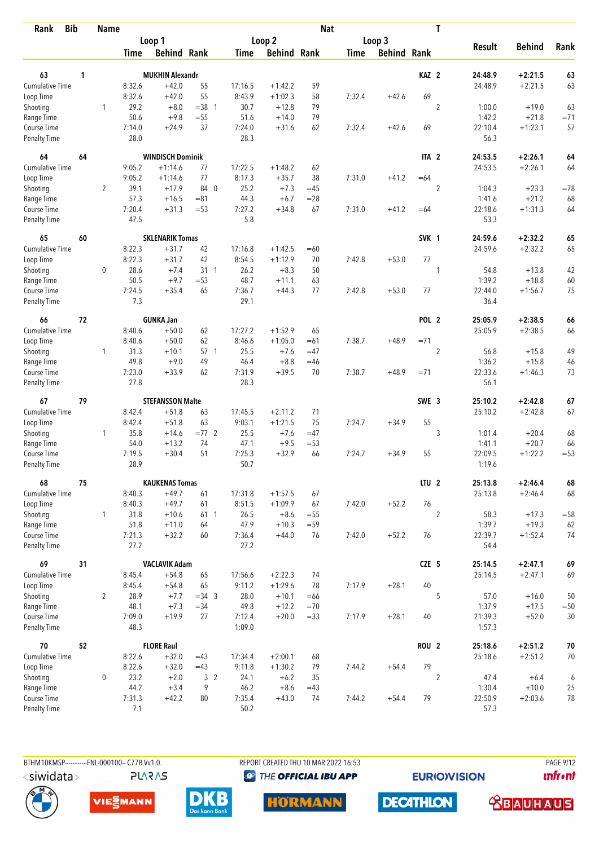| <b>Bib</b><br>Rank                 |    | Name           |                |                         |                |                |                    | <b>Nat</b> |        |                    |                  | T              |                 |               |        |
|------------------------------------|----|----------------|----------------|-------------------------|----------------|----------------|--------------------|------------|--------|--------------------|------------------|----------------|-----------------|---------------|--------|
|                                    |    |                |                | Loop 1                  |                |                | Loop <sub>2</sub>  |            |        | Loop 3             |                  |                |                 |               |        |
|                                    |    |                | Time           | <b>Behind Rank</b>      |                | Time           | <b>Behind Rank</b> |            | Time   | <b>Behind Rank</b> |                  |                | <b>Result</b>   | <b>Behind</b> | Rank   |
| 63                                 | 1  |                |                | <b>MUKHIN Alexandr</b>  |                |                |                    |            |        |                    | KAZ <sub>2</sub> |                | 24:48.9         | $+2:21.5$     | 63     |
| <b>Cumulative Time</b>             |    |                | 8:32.6         | $+42.0$                 | 55             | 17:16.5        | $+1:42.2$          | 59         |        |                    |                  |                | 24:48.9         | $+2:21.5$     | 63     |
| Loop Time                          |    |                | 8:32.6         | $+42.0$                 | 55             | 8:43.9         | $+1:02.3$          | 58         | 7:32.4 | $+42.6$            | 69               |                |                 |               |        |
| Shooting                           |    | 1              | 29.2           | $+8.0$                  | $=38$ 1        | 30.7           | $+12.8$            | 79         |        |                    |                  | $\overline{2}$ | 1:00.0          | $+19.0$       | 63     |
| Range Time                         |    |                | 50.6           | $+9.8$                  | $=55$          | 51.6           | $+14.0$            | 79         |        |                    |                  |                | 1:42.2          | $+21.8$       | $=71$  |
| Course Time                        |    |                | 7:14.0         | $+24.9$                 | 37             | 7:24.0         | $+31.6$            | 62         | 7:32.4 | $+42.6$            | 69               |                | 22:10.4         | $+1:23.1$     | 57     |
| <b>Penalty Time</b>                |    |                | 28.0           |                         |                | 28.3           |                    |            |        |                    |                  |                | 56.3            |               |        |
| 64                                 | 64 |                |                | <b>WINDISCH Dominik</b> |                |                |                    |            |        |                    | ITA <sub>2</sub> |                | 24:53.5         | $+2:26.1$     | 64     |
| <b>Cumulative Time</b>             |    |                | 9:05.2         | $+1:14.6$               | 77             | 17:22.5        | $+1:48.2$          | 62         |        |                    |                  |                | 24:53.5         | $+2:26.1$     | 64     |
| Loop Time                          |    |                | 9:05.2         | $+1:14.6$               | 77             | 8:17.3         | $+35.7$            | 38         | 7:31.0 | $+41.2$            | $=64$            |                |                 |               |        |
| Shooting                           |    | $\overline{2}$ | 39.1           | $+17.9$                 | 84 0           | 25.2           | $+7.3$             | $=45$      |        |                    |                  | $\overline{2}$ | 1:04.3          | $+23.3$       | $=78$  |
| Range Time                         |    |                | 57.3           | $+16.5$                 | $= 81$         | 44.3           | $+6.7$             | $= 28$     |        |                    |                  |                | 1:41.6          | $+21.2$       | 68     |
| Course Time                        |    |                | 7:20.4         | $+31.3$                 | $= 53$         | 7:27.2         | $+34.8$            | 67         | 7:31.0 | $+41.2$            | $=64$            |                | 22:18.6         | $+1:31.3$     | 64     |
| Penalty Time                       |    |                | 47.5           |                         |                | 5.8            |                    |            |        |                    |                  |                | 53.3            |               |        |
| 65                                 | 60 |                |                | <b>SKLENARIK Tomas</b>  |                |                |                    |            |        |                    | SVK 1            |                | 24:59.6         | $+2:32.2$     | 65     |
| <b>Cumulative Time</b>             |    |                | 8:22.3         | $+31.7$                 | 42             | 17:16.8        | $+1:42.5$          | $=60$      |        |                    |                  |                | 24:59.6         | $+2:32.2$     | 65     |
| Loop Time                          |    |                | 8:22.3         | $+31.7$                 | 42             | 8:54.5         | $+1:12.9$          | 70         | 7:42.8 | $+53.0$            | 77               |                |                 |               |        |
| Shooting                           |    | $\mathbf 0$    | 28.6           | $+7.4$                  | 31 1           | 26.2           | $+8.3$             | 50         |        |                    |                  | 1              | 54.8            | $+13.8$       | 42     |
| Range Time                         |    |                | 50.5           | $+9.7$                  | $= 53$         | 48.7           | $+11.1$            | 63         |        |                    |                  |                | 1:39.2          | $+18.8$       | 60     |
| Course Time                        |    |                | 7:24.5         | $+35.4$                 | 65             | 7:36.7         | $+44.3$            | 77         | 7:42.8 | $+53.0$            | 77               |                | 22:44.0         | $+1:56.7$     | 75     |
| <b>Penalty Time</b>                |    |                | 7.3            |                         |                | 29.1           |                    |            |        |                    |                  |                | 36.4            |               |        |
| 66                                 | 72 |                |                | <b>GUNKA Jan</b>        |                |                |                    |            |        |                    | POL <sub>2</sub> |                | 25:05.9         | $+2:38.5$     | 66     |
| <b>Cumulative Time</b>             |    |                | 8:40.6         | $+50.0$                 | 62             | 17:27.2        | $+1:52.9$          | 65         |        |                    |                  |                | 25:05.9         | $+2:38.5$     | 66     |
| Loop Time                          |    |                | 8:40.6         | $+50.0$                 | 62             | 8:46.6         | $+1:05.0$          | $=61$      | 7:38.7 | $+48.9$            | $= 71$           |                |                 |               |        |
| Shooting                           |    | $\mathbf{1}$   | 31.3           | $+10.1$                 | 57 1           | 25.5           | $+7.6$             | $=47$      |        |                    |                  | $\overline{2}$ | 56.8            | $+15.8$       | 49     |
| Range Time                         |    |                | 49.8           | $+9.0$                  | 49             | 46.4           | $+8.8$             | $=46$      |        |                    |                  |                | 1:36.2          | $+15.8$       | 46     |
| Course Time                        |    |                | 7:23.0         | $+33.9$                 | 62             | 7:31.9         | $+39.5$            | 70         | 7:38.7 | $+48.9$            | $= 71$           |                | 22:33.6         | $+1:46.3$     | 73     |
| <b>Penalty Time</b>                |    |                | 27.8           |                         |                | 28.3           |                    |            |        |                    |                  |                | 56.1            |               |        |
| 67                                 | 79 |                |                | <b>STEFANSSON Malte</b> |                |                |                    |            |        |                    | SWE 3            |                | 25:10.2         | $+2:42.8$     | 67     |
| <b>Cumulative Time</b>             |    |                | 8:42.4         | $+51.8$                 | 63             | 17:45.5        | $+2:11.2$          | 71         |        |                    |                  |                | 25:10.2         | $+2:42.8$     | 67     |
| Loop Time                          |    |                | 8:42.4         | $+51.8$                 | 63             | 9:03.1         | $+1:21.5$          | 75         | 7:24.7 | $+34.9$            | 55               |                |                 |               |        |
| Shooting                           |    | 1              | 35.8           | $+14.6$                 | $=77$ 2        | 25.5           | $+7.6$             | $=47$      |        |                    |                  | 3              | 1:01.4          | $+20.4$       | 68     |
| Range Time                         |    |                | 54.0           | $+13.2$                 | 74             | 47.1           | $+9.5$             | $= 53$     |        |                    |                  |                | 1:41.1          | $+20.7$       | 66     |
| Course Time                        |    |                | 7:19.5         | $+30.4$                 | 51             | 7:25.3         | $+32.9$            | 66         | 7:24.7 | $+34.9$            | 55               |                | 22:09.5         | $+1:22.2$     | $=53$  |
| <b>Penalty Time</b>                |    |                | 28.9           |                         |                | 50.7           |                    |            |        |                    |                  |                | 1:19.6          |               |        |
| 68                                 | 75 |                |                | <b>KAUKENAS Tomas</b>   |                |                |                    |            |        |                    | LTU <sub>2</sub> |                | 25:13.8         | $+2:46.4$     | 68     |
| <b>Cumulative Time</b>             |    |                | 8:40.3         | $+49.7$                 | 61             | 17:31.8        | $+1:57.5$          | 67         |        |                    |                  |                | 25:13.8         | $+2:46.4$     | 68     |
| Loop Time                          |    |                | 8:40.3         | $+49.7$                 | 61             | 8:51.5         | $+1:09.9$          | 67         | 7:42.0 | $+52.2$            | 76               |                |                 |               |        |
| Shooting                           |    | $\mathbf{1}$   | 31.8           | $+10.6$                 | 61 1           | 26.5           | $+8.6$             | $=55$      |        |                    |                  | $\overline{2}$ | 58.3            | $+17.3$       | $= 58$ |
| Range Time                         |    |                | 51.8           | $+11.0$                 | 64             | 47.9           | $+10.3$            | $= 59$     |        |                    |                  |                | 1:39.7          | $+19.3$       | 62     |
| Course Time<br><b>Penalty Time</b> |    |                | 7:21.3<br>27.2 | $+32.2$                 | 60             | 7:36.4<br>27.2 | $+44.0$            | 76         | 7:42.0 | $+52.2$            | 76               |                | 22:39.7<br>54.4 | $+1:52.4$     | 74     |
| 69                                 | 31 |                |                | <b>VACLAVIK Adam</b>    |                |                |                    |            |        |                    | CZE 5            |                | 25:14.5         | $+2:47.1$     | 69     |
| <b>Cumulative Time</b>             |    |                | 8:45.4         | $+54.8$                 | 65             | 17:56.6        | $+2:22.3$          | 74         |        |                    |                  |                | 25:14.5         | $+2:47.1$     | 69     |
| Loop Time                          |    |                | 8:45.4         | $+54.8$                 | 65             | 9:11.2         | $+1:29.6$          | 78         | 7:17.9 | $+28.1$            | 40               |                |                 |               |        |
| Shooting                           |    | 2              | 28.9           | $+7.7$                  | $=34$ 3        | 28.0           | $+10.1$            | $=66$      |        |                    |                  | 5              | 57.0            | $+16.0$       | 50     |
| Range Time                         |    |                | 48.1           | $+7.3$                  | $= 34$         | 49.8           | $+12.2$            | $=70$      |        |                    |                  |                | 1:37.9          | $+17.5$       | $=50$  |
| Course Time                        |    |                | 7:09.0         | $+19.9$                 | 27             | 7:12.4         | $+20.0$            | $= 33$     | 7:17.9 | $+28.1$            | 40               |                | 21:39.3         | $+52.0$       | 30     |
| <b>Penalty Time</b>                |    |                | 48.3           |                         |                | 1:09.0         |                    |            |        |                    |                  |                | 1:57.3          |               |        |
| 70                                 | 52 |                |                | <b>FLORE Raul</b>       |                |                |                    |            |        |                    | <b>ROU 2</b>     |                | 25:18.6         | $+2:51.2$     | 70     |
| Cumulative Time                    |    |                | 8:22.6         | $+32.0$                 | $=43$          | 17:34.4        | $+2:00.1$          | 68         |        |                    |                  |                | 25:18.6         | $+2:51.2$     | 70     |
| Loop Time                          |    |                | 8:22.6         | $+32.0$                 | $=43$          | 9:11.8         | $+1:30.2$          | 79         | 7:44.2 | $+54.4$            | 79               |                |                 |               |        |
| Shooting                           |    | $\mathbf 0$    | 23.2           | $+2.0$                  | 3 <sup>2</sup> | 24.1           | $+6.2$             | 35         |        |                    |                  | $\overline{2}$ | 47.4            | $+6.4$        | 6      |
| Range Time                         |    |                | 44.2           | $+3.4$                  | 9              | 46.2           | $+8.6$             | $=43$      |        |                    |                  |                | 1:30.4          | $+10.0$       | 25     |
| Course Time                        |    |                | 7:31.3         | $+42.2$                 | 80             | 7:35.4         | $+43.0$            | 74         | 7:44.2 | $+54.4$            | 79               |                | 22:50.9         | $+2:03.6$     | 78     |
| <b>Penalty Time</b>                |    |                | 7.1            |                         |                | $50.2\,$       |                    |            |        |                    |                  |                | 57.3            |               |        |



**PLARAS** 

BTHM10KMSP-----------FNL-000100-- C77B Vv1.0. REPORT CREATED THU 10 MAR 2022 16:53 PAGE 9/12 <sup><sup>9</sup> THE OFFICIAL IBU APP</sup>

**EURIOVISION** 

*<u><u>Infront</u>*</u>









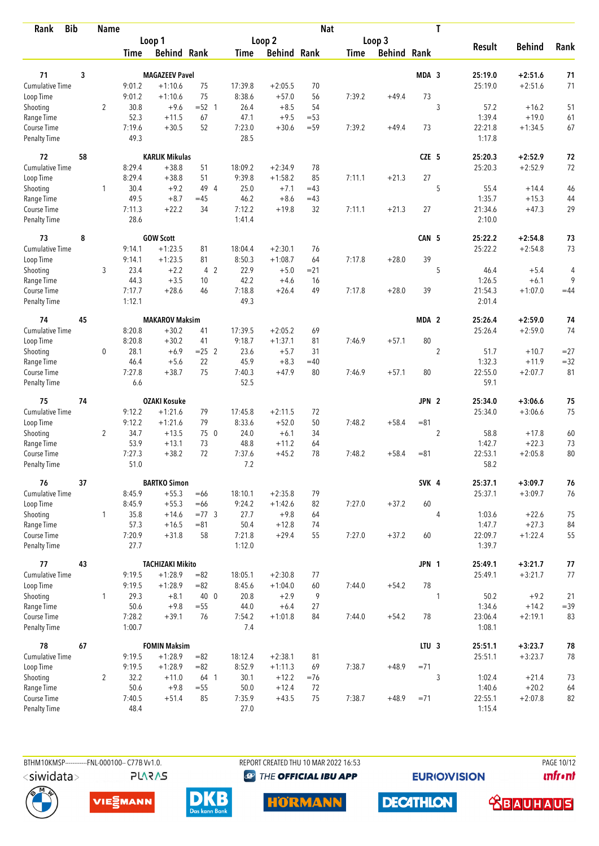| <b>Bib</b><br>Rank          |    | <b>Name</b>    |                  |                                  |                |               |                    | <b>Nat</b> |             |                    |                  | T              |                    |                        |          |
|-----------------------------|----|----------------|------------------|----------------------------------|----------------|---------------|--------------------|------------|-------------|--------------------|------------------|----------------|--------------------|------------------------|----------|
|                             |    |                |                  | Loop 1                           |                |               | Loop 2             |            |             | Loop 3             |                  |                |                    |                        |          |
|                             |    |                | Time             | <b>Behind Rank</b>               |                | Time          | <b>Behind Rank</b> |            | <b>Time</b> | <b>Behind Rank</b> |                  |                | <b>Result</b>      | <b>Behind</b>          | Rank     |
| 71                          | 3  |                |                  | <b>MAGAZEEV Pavel</b>            |                |               |                    |            |             |                    | MDA 3            |                | 25:19.0            | $+2:51.6$              | 71       |
| <b>Cumulative Time</b>      |    |                | 9:01.2           | $+1:10.6$                        | 75             | 17:39.8       | $+2:05.5$          | 70         |             |                    |                  |                | 25:19.0            | $+2:51.6$              | 71       |
| Loop Time                   |    |                | 9:01.2           | $+1:10.6$                        | 75             | 8:38.6        | $+57.0$            | 56         | 7:39.2      | $+49.4$            | 73               |                |                    |                        |          |
| Shooting                    |    | $\overline{2}$ | 30.8             | $+9.6$                           | $=52$ 1        | 26.4          | $+8.5$             | 54         |             |                    |                  | 3              | 57.2               | $+16.2$                | 51       |
| Range Time                  |    |                | 52.3             | $+11.5$                          | 67             | 47.1          | $+9.5$             | $= 53$     |             |                    |                  |                | 1:39.4             | $+19.0$                | 61       |
| Course Time                 |    |                | 7:19.6           | $+30.5$                          | 52             | 7:23.0        | $+30.6$            | $= 59$     | 7:39.2      | $+49.4$            | 73               |                | 22:21.8            | $+1:34.5$              | 67       |
| <b>Penalty Time</b>         |    |                | 49.3             |                                  |                | 28.5          |                    |            |             |                    |                  |                | 1:17.8             |                        |          |
| 72                          | 58 |                |                  | <b>KARLIK Mikulas</b>            |                |               |                    |            |             |                    | CZE 5            |                | 25:20.3            | $+2:52.9$              | 72       |
| Cumulative Time             |    |                | 8:29.4           | $+38.8$                          | 51             | 18:09.2       | $+2:34.9$          | 78         |             |                    |                  |                | 25:20.3            | $+2:52.9$              | 72       |
| Loop Time                   |    |                | 8:29.4           | $+38.8$                          | 51             | 9:39.8        | $+1:58.2$          | 85         | 7:11.1      | $+21.3$            | 27               |                |                    |                        |          |
| Shooting                    |    | 1              | 30.4             | $+9.2$                           | 49 4           | 25.0          | $+7.1$             | $=43$      |             |                    |                  | 5              | 55.4               | $+14.4$                | 46       |
| Range Time                  |    |                | 49.5             | $+8.7$                           | $=45$          | 46.2          | $+8.6$             | $=43$      |             |                    |                  |                | 1:35.7             | $+15.3$                | 44       |
| Course Time                 |    |                | 7:11.3           | $+22.2$                          | 34             | 7:12.2        | $+19.8$            | 32         | 7:11.1      | $+21.3$            | 27               |                | 21:34.6            | $+47.3$                | 29       |
| Penalty Time                |    |                | 28.6             |                                  |                | 1:41.4        |                    |            |             |                    |                  |                | 2:10.0             |                        |          |
| 73                          | 8  |                |                  | <b>GOW Scott</b>                 |                |               |                    |            |             |                    | CAN 5            |                | 25:22.2            | $+2:54.8$              | 73       |
| <b>Cumulative Time</b>      |    |                | 9:14.1           | $+1:23.5$                        | 81             | 18:04.4       | $+2:30.1$          | 76         |             |                    |                  |                | 25:22.2            | $+2:54.8$              | 73       |
| Loop Time                   |    |                | 9:14.1           | $+1:23.5$                        | 81             | 8:50.3        | $+1:08.7$          | 64         | 7:17.8      | $+28.0$            | 39               |                |                    |                        |          |
| Shooting                    |    | 3              | 23.4             | $+2.2$                           | 4 <sub>2</sub> | 22.9          | $+5.0$             | $= 21$     |             |                    |                  | 5              | 46.4               | $+5.4$                 | 4        |
| Range Time                  |    |                | 44.3             | $+3.5$                           | 10             | 42.2          | $+4.6$             | 16         |             |                    |                  |                | 1:26.5             | $+6.1$                 | 9        |
| Course Time                 |    |                | 7:17.7           | $+28.6$                          | 46             | 7:18.8        | $+26.4$            | 49         | 7:17.8      | $+28.0$            | 39               |                | 21:54.3            | $+1:07.0$              | $=44$    |
| Penalty Time                |    |                | 1:12.1           |                                  |                | 49.3          |                    |            |             |                    |                  |                | 2:01.4             |                        |          |
| 74                          | 45 |                |                  | <b>MAKAROV Maksim</b>            |                |               |                    |            |             |                    | MDA <sub>2</sub> |                | 25:26.4            | $+2:59.0$              | 74       |
| <b>Cumulative Time</b>      |    |                | 8:20.8           | $+30.2$                          | 41             | 17:39.5       | $+2:05.2$          | 69         |             |                    |                  |                | 25:26.4            | $+2:59.0$              | 74       |
| Loop Time                   |    |                | 8:20.8           | $+30.2$                          | 41             | 9:18.7        | $+1:37.1$          | 81         | 7:46.9      | $+57.1$            | 80               |                |                    |                        |          |
| Shooting                    |    | 0              | 28.1             | $+6.9$                           | $= 25$ 2       | 23.6          | $+5.7$             | 31         |             |                    |                  | $\overline{2}$ | 51.7               | $+10.7$                | $= 27$   |
| Range Time                  |    |                | 46.4             | $+5.6$                           | 22             | 45.9          | $+8.3$             | $=40$      |             |                    |                  |                | 1:32.3             | $+11.9$                | $= 32$   |
| Course Time                 |    |                | 7:27.8           | $+38.7$                          | 75             | 7:40.3        | $+47.9$            | 80         | 7:46.9      | $+57.1$            | 80               |                | 22:55.0            | $+2:07.7$              | 81       |
| <b>Penalty Time</b>         |    |                | 6.6              |                                  |                | 52.5          |                    |            |             |                    |                  |                | 59.1               |                        |          |
| 75                          | 74 |                |                  | <b>OZAKI Kosuke</b>              |                |               |                    |            |             |                    | JPN 2            |                | 25:34.0            | $+3:06.6$              | 75       |
| Cumulative Time             |    |                | 9:12.2           | $+1:21.6$                        | 79             | 17:45.8       | $+2:11.5$          | 72         |             |                    |                  |                | 25:34.0            | $+3:06.6$              | 75       |
| Loop Time                   |    |                | 9:12.2           | $+1:21.6$                        | 79             | 8:33.6        | $+52.0$            | 50         | 7:48.2      | $+58.4$            | $= 81$           |                |                    |                        |          |
| Shooting                    |    | $\overline{2}$ | 34.7             | $+13.5$                          | 75 0           | 24.0          | $+6.1$             | 34         |             |                    |                  | $\overline{2}$ | 58.8               | $+17.8$                | 60       |
| Range Time                  |    |                | 53.9             | $+13.1$                          | 73             | 48.8          | $+11.2$            | 64         |             |                    |                  |                | 1:42.7             | $+22.3$                | 73       |
| Course Time                 |    |                | 7:27.3           | $+38.2$                          | 72             | 7:37.6        | $+45.2$            | 78         | 7:48.2      | $+58.4$            | $= 81$           |                | 22:53.1            | $+2:05.8$              | 80       |
| <b>Penalty Time</b>         |    |                | 51.0             |                                  |                | 7.2           |                    |            |             |                    |                  |                | 58.2               |                        |          |
| 76                          | 37 |                |                  | <b>BARTKO Simon</b>              |                |               |                    |            |             |                    | SVK 4            |                | 25:37.1            | $+3:09.7$              | 76       |
| Cumulative Time             |    |                | 8:45.9           | $+55.3$                          | $=66$          | 18:10.1       | $+2:35.8$          | 79         |             |                    |                  |                | 25:37.1            | $+3:09.7$              | 76       |
| Loop Time                   |    |                | 8:45.9           | $+55.3$                          | $=66$          | 9:24.2        | $+1:42.6$          | 82         | 7:27.0      | $+37.2$            | 60               |                |                    |                        |          |
| Shooting                    |    | $\mathbf{1}$   | 35.8             | $+14.6$                          | $=77.3$        | 27.7          | $+9.8$             | 64         |             |                    |                  | 4              | 1:03.6             | $+22.6$                | 75       |
| Range Time                  |    |                | 57.3             | $+16.5$                          | $= 81$         | 50.4          | $+12.8$            | 74         |             |                    |                  |                | 1:47.7             | $+27.3$                | 84       |
| Course Time                 |    |                | 7:20.9           | $+31.8$                          | 58             | 7:21.8        | $+29.4$            | 55         | 7:27.0      | $+37.2$            | 60               |                | 22:09.7            | $+1:22.4$              | 55       |
| Penalty Time                |    |                | 27.7             |                                  |                | 1:12.0        |                    |            |             |                    |                  |                | 1:39.7             |                        |          |
| 77                          | 43 |                |                  | <b>TACHIZAKI Mikito</b>          |                |               |                    |            |             |                    | JPN 1            |                | 25:49.1            | $+3:21.7$              | $77$     |
| <b>Cumulative Time</b>      |    |                | 9:19.5           | $+1:28.9$                        | $= 82$         | 18:05.1       | $+2:30.8$          | 77         |             |                    |                  |                | 25:49.1            | $+3:21.7$              | 77       |
| Loop Time                   |    |                | 9:19.5           | $+1:28.9$                        | $= 82$         | 8:45.6        | $+1:04.0$          | 60         | 7:44.0      | $+54.2$            | 78               |                |                    |                        |          |
| Shooting                    |    | 1              | 29.3             | $+8.1$                           | 40 0           | 20.8          | $+2.9$             | 9          |             |                    |                  | 1              | 50.2               | $+9.2$                 | 21       |
| Range Time                  |    |                | 50.6             | $+9.8$                           | $=55$          | 44.0          | $+6.4$             | 27         |             |                    |                  |                | 1:34.6             | $+14.2$                | $= 39$   |
| Course Time<br>Penalty Time |    |                | 7:28.2<br>1:00.7 | $+39.1$                          | 76             | 7:54.2<br>7.4 | $+1:01.8$          | 84         | 7:44.0      | $+54.2$            | 78               |                | 23:06.4<br>1:08.1  | $+2:19.1$              | 83       |
|                             |    |                |                  |                                  |                |               |                    |            |             |                    |                  |                |                    |                        |          |
| 78<br>Cumulative Time       | 67 |                | 9:19.5           | <b>FOMIN Maksim</b><br>$+1:28.9$ | $= 82$         | 18:12.4       | $+2:38.1$          | 81         |             |                    | LTU <sub>3</sub> |                | 25:51.1<br>25:51.1 | $+3:23.7$<br>$+3:23.7$ | 78<br>78 |
| Loop Time                   |    |                | 9:19.5           | $+1:28.9$                        | $= 82$         | 8:52.9        | $+1:11.3$          | 69         | 7:38.7      | $+48.9$            | $=71$            |                |                    |                        |          |
| Shooting                    |    | $\overline{2}$ | 32.2             | $+11.0$                          | 64 1           | 30.1          | $+12.2$            | $=76$      |             |                    |                  | 3              | 1:02.4             | $+21.4$                | 73       |
| Range Time                  |    |                | 50.6             | $+9.8$                           | $=55$          | 50.0          | $+12.4$            | 72         |             |                    |                  |                | 1:40.6             | $+20.2$                | 64       |
| Course Time                 |    |                | 7:40.5           | $+51.4$                          | 85             | 7:35.9        | $+43.5$            | 75         | 7:38.7      | $+48.9$            | $= 71$           |                | 22:55.1            | $+2:07.8$              | 82       |
| <b>Penalty Time</b>         |    |                | 48.4             |                                  |                | 27.0          |                    |            |             |                    |                  |                | 1:15.4             |                        |          |

**PLARAS** 

BTHM10KMSP-----------FNL-000100-- C77B Vv1.0. REPORT CREATED THU 10 MAR 2022 16:53 PAGE 10/12 <sup><sup>9</sup> THE OFFICIAL IBU APP</sup>

**EURIOVISION** 

**unfront** 









**DECATHLON** 

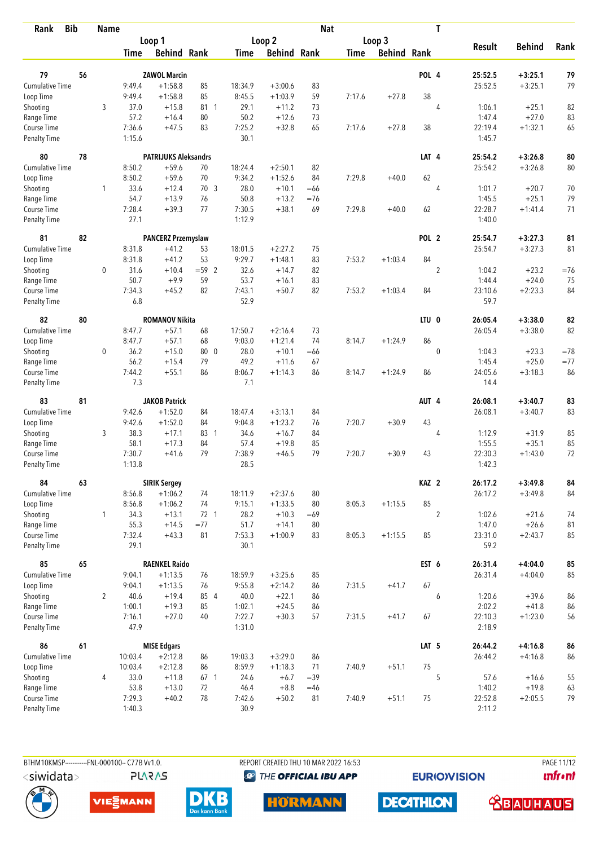| Rank                         | <b>Bib</b> | <b>Name</b>    |                |                             |                 |                  |                    | <b>Nat</b> |             |                    |                  | T              |                   |                      |          |
|------------------------------|------------|----------------|----------------|-----------------------------|-----------------|------------------|--------------------|------------|-------------|--------------------|------------------|----------------|-------------------|----------------------|----------|
|                              |            |                |                | Loop 1                      |                 |                  | Loop 2             |            |             | Loop 3             |                  |                |                   |                      |          |
|                              |            |                | Time           | <b>Behind Rank</b>          |                 | Time             | <b>Behind Rank</b> |            | <b>Time</b> | <b>Behind Rank</b> |                  |                | <b>Result</b>     | <b>Behind</b>        | Rank     |
| 79                           | 56         |                |                | <b>ZAWOL Marcin</b>         |                 |                  |                    |            |             |                    | POL 4            |                | 25:52.5           | $+3:25.1$            | 79       |
| <b>Cumulative Time</b>       |            |                | 9:49.4         | $+1:58.8$                   | 85              | 18:34.9          | $+3:00.6$          | 83         |             |                    |                  |                | 25:52.5           | $+3:25.1$            | 79       |
| Loop Time                    |            |                | 9:49.4         | $+1:58.8$                   | 85              | 8:45.5           | $+1:03.9$          | 59         | 7:17.6      | $+27.8$            | 38               |                |                   |                      |          |
| Shooting                     |            | 3              | 37.0           | $+15.8$                     | 81 1            | 29.1             | $+11.2$            | 73         |             |                    |                  | $\overline{4}$ | 1:06.1            | $+25.1$              | 82       |
| Range Time                   |            |                | 57.2           | $+16.4$                     | 80              | 50.2             | $+12.6$            | 73         |             |                    |                  |                | 1:47.4            | $+27.0$              | 83       |
| Course Time                  |            |                | 7:36.6         | $+47.5$                     | 83              | 7:25.2           | $+32.8$            | 65         | 7:17.6      | $+27.8$            | 38               |                | 22:19.4           | $+1:32.1$            | 65       |
| <b>Penalty Time</b>          |            |                | 1:15.6         |                             |                 | 30.1             |                    |            |             |                    |                  |                | 1:45.7            |                      |          |
| 80                           | 78         |                |                | <b>PATRIJUKS Aleksandrs</b> |                 |                  |                    |            |             |                    | LAT 4            |                | 25:54.2           | $+3:26.8$            | 80       |
| Cumulative Time              |            |                | 8:50.2         | $+59.6$                     | 70              | 18:24.4          | $+2:50.1$          | 82         |             |                    |                  |                | 25:54.2           | $+3:26.8$            | 80       |
| Loop Time                    |            |                | 8:50.2         | $+59.6$                     | 70              | 9:34.2           | $+1:52.6$          | 84         | 7:29.8      | $+40.0$            | 62               |                |                   |                      |          |
| Shooting                     |            | 1              | 33.6           | $+12.4$                     | 70.3            | 28.0             | $+10.1$            | $=66$      |             |                    |                  | 4              | 1:01.7            | $+20.7$              | 70       |
| Range Time                   |            |                | 54.7           | $+13.9$                     | 76              | 50.8             | $+13.2$            | $= 76$     |             |                    |                  |                | 1:45.5            | $+25.1$              | 79       |
| Course Time                  |            |                | 7:28.4         | $+39.3$                     | 77              | 7:30.5           | $+38.1$            | 69         | 7:29.8      | $+40.0$            | 62               |                | 22:28.7           | $+1:41.4$            | 71       |
| Penalty Time                 |            |                | 27.1           |                             |                 | 1:12.9           |                    |            |             |                    |                  |                | 1:40.0            |                      |          |
| 81                           | 82         |                |                | <b>PANCERZ Przemyslaw</b>   |                 |                  |                    |            |             |                    | POL <sub>2</sub> |                | 25:54.7           | $+3:27.3$            | 81       |
| Cumulative Time              |            |                | 8:31.8         | $+41.2$                     | 53              | 18:01.5          | $+2:27.2$          | 75         |             |                    |                  |                | 25:54.7           | $+3:27.3$            | 81       |
| Loop Time                    |            |                | 8:31.8         | $+41.2$                     | 53              | 9:29.7           | $+1:48.1$          | 83         | 7:53.2      | $+1:03.4$          | 84               |                |                   |                      |          |
| Shooting                     |            | 0              | 31.6           | $+10.4$                     | $= 59$ 2        | 32.6             | $+14.7$            | 82         |             |                    |                  | $\sqrt{2}$     | 1:04.2            | $+23.2$              | $= 76$   |
| Range Time                   |            |                | 50.7           | $+9.9$                      | 59              | 53.7             | $+16.1$            | 83         |             |                    |                  |                | 1:44.4            | $+24.0$              | 75       |
| Course Time                  |            |                | 7:34.3         | $+45.2$                     | 82              | 7:43.1           | $+50.7$            | 82         | 7:53.2      | $+1:03.4$          | 84               |                | 23:10.6           | $+2:23.3$            | 84       |
| Penalty Time                 |            |                | 6.8            |                             |                 | 52.9             |                    |            |             |                    |                  |                | 59.7              |                      |          |
| 82                           | 80         |                |                | <b>ROMANOV Nikita</b>       |                 |                  |                    |            |             |                    | LTU <sub>0</sub> |                | 26:05.4           | $+3:38.0$            | 82       |
| <b>Cumulative Time</b>       |            |                | 8:47.7         | $+57.1$                     | 68              | 17:50.7          | $+2:16.4$          | 73         |             |                    |                  |                | 26:05.4           | $+3:38.0$            | 82       |
| Loop Time                    |            |                | 8:47.7         | $+57.1$                     | 68              | 9:03.0           | $+1:21.4$          | 74         | 8:14.7      | $+1:24.9$          | 86               |                |                   |                      |          |
| Shooting                     |            | 0              | 36.2           | $+15.0$                     | 80 0            | 28.0             | $+10.1$            | $=66$      |             |                    |                  | $\mathbf{0}$   | 1:04.3            | $+23.3$              | $=78$    |
| Range Time                   |            |                | 56.2           | $+15.4$                     | 79              | 49.2             | $+11.6$            | 67         |             |                    |                  |                | 1:45.4            | $+25.0$              | $= 77$   |
| Course Time                  |            |                | 7:44.2         | $+55.1$                     | 86              | 8:06.7           | $+1:14.3$          | 86         | 8:14.7      | $+1:24.9$          | 86               |                | 24:05.6           | $+3:18.3$            | 86       |
| <b>Penalty Time</b>          |            |                | 7.3            |                             |                 | 7.1              |                    |            |             |                    |                  |                | 14.4              |                      |          |
| 83                           | 81         |                |                | <b>JAKOB Patrick</b>        |                 |                  |                    |            |             |                    | AUT 4            |                | 26:08.1           | $+3:40.7$            | 83       |
| Cumulative Time              |            |                | 9:42.6         | $+1:52.0$                   | 84              | 18:47.4          | $+3:13.1$          | 84         |             |                    |                  |                | 26:08.1           | $+3:40.7$            | 83       |
| Loop Time                    |            |                | 9:42.6         | $+1:52.0$                   | 84              | 9:04.8           | $+1:23.2$          | 76         | 7:20.7      | $+30.9$            | 43               |                |                   |                      |          |
| Shooting                     |            | 3              | 38.3           | $+17.1$                     | 83 1            | 34.6             | $+16.7$            | 84         |             |                    |                  | 4              | 1:12.9            | $+31.9$              | 85       |
| Range Time                   |            |                | 58.1           | $+17.3$                     | 84              | 57.4             | $+19.8$            | 85         |             |                    |                  |                | 1:55.5            | $+35.1$              | 85       |
| Course Time                  |            |                | 7:30.7         | $+41.6$                     | 79              | 7:38.9           | $+46.5$            | 79         | 7:20.7      | $+30.9$            | 43               |                | 22:30.3           | $+1:43.0$            | 72       |
| <b>Penalty Time</b>          |            |                | 1:13.8         |                             |                 | 28.5             |                    |            |             |                    |                  |                | 1:42.3            |                      |          |
| 84                           | 63         |                |                | <b>SIRIK Sergey</b>         |                 |                  |                    |            |             |                    | KAZ <sub>2</sub> |                | 26:17.2           | $+3:49.8$            | 84       |
| Cumulative Time              |            |                | 8:56.8         | $+1:06.2$                   | 74              | 18:11.9          | $+2:37.6$          | 80         |             |                    |                  |                | 26:17.2           | $+3:49.8$            | 84       |
| Loop Time                    |            |                | 8:56.8         | $+1:06.2$                   | 74              | 9:15.1           | $+1:33.5$          | 80         | 8:05.3      | $+1:15.5$          | 85               |                |                   |                      |          |
| Shooting                     |            | $\mathbf{1}$   | 34.3           | $+13.1$                     | 72 1            | 28.2             | $+10.3$            | $=69$      |             |                    |                  | $\overline{2}$ | 1:02.6            | $+21.6$              | 74       |
| Range Time                   |            |                | 55.3           | $+14.5$                     | $= 77$          | 51.7             | $+14.1$            | 80         |             |                    |                  |                | 1:47.0            | $+26.6$              | 81       |
| Course Time<br>Penalty Time  |            |                | 7:32.4<br>29.1 | $+43.3$                     | 81              | 7:53.3<br>30.1   | $+1:00.9$          | 83         | 8:05.3      | $+1:15.5$          | 85               |                | 23:31.0<br>59.2   | $+2:43.7$            | 85       |
|                              |            |                |                |                             |                 |                  |                    |            |             |                    |                  |                |                   |                      |          |
| 85<br><b>Cumulative Time</b> | 65         |                |                | <b>RAENKEL Raido</b>        |                 |                  |                    |            |             |                    | EST 6            |                | 26:31.4           | $+4:04.0$            | 85       |
|                              |            |                | 9:04.1         | $+1:13.5$                   | 76              | 18:59.9          | $+3:25.6$          | 85         |             |                    | 67               |                | 26:31.4           | $+4:04.0$            | 85       |
| Loop Time                    |            |                | 9:04.1         | $+1:13.5$                   | 76              | 9:55.8           | $+2:14.2$          | 86         | 7:31.5      | $+41.7$            |                  |                |                   |                      |          |
| Shooting                     |            | $\overline{2}$ | 40.6<br>1:00.1 | $+19.4$<br>$+19.3$          | 85 4<br>85      | 40.0             | $+22.1$            | 86         |             |                    |                  | 6              | 1:20.6            | $+39.6$              | 86       |
| Range Time<br>Course Time    |            |                | 7:16.1         | $+27.0$                     | 40              | 1:02.1<br>7:22.7 | $+24.5$<br>$+30.3$ | 86<br>57   | 7:31.5      | $+41.7$            | 67               |                | 2:02.2<br>22:10.3 | $+41.8$<br>$+1:23.0$ | 86<br>56 |
| Penalty Time                 |            |                | 47.9           |                             |                 | 1:31.0           |                    |            |             |                    |                  |                | 2:18.9            |                      |          |
| 86                           | 61         |                |                | <b>MISE Edgars</b>          |                 |                  |                    |            |             |                    | LAT <sub>5</sub> |                | 26:44.2           | $+4:16.8$            | 86       |
| Cumulative Time              |            |                | 10:03.4        | $+2:12.8$                   | 86              | 19:03.3          | $+3:29.0$          | 86         |             |                    |                  |                | 26:44.2           | $+4:16.8$            | 86       |
| Loop Time                    |            |                | 10:03.4        | $+2:12.8$                   | 86              | 8:59.9           | $+1:18.3$          | 71         | 7:40.9      | $+51.1$            | 75               |                |                   |                      |          |
| Shooting                     |            | 4              | 33.0           | $+11.8$                     | 67 <sub>1</sub> | 24.6             | $+6.7$             | $=39$      |             |                    |                  | 5              | 57.6              | $+16.6$              | 55       |
| Range Time                   |            |                | 53.8           | $+13.0$                     | 72              | 46.4             | $+8.8$             | $=46$      |             |                    |                  |                | 1:40.2            | $+19.8$              | 63       |
| Course Time                  |            |                | 7:29.3         | $+40.2$                     | 78              | 7:42.6           | $+50.2$            | 81         | 7:40.9      | $+51.1$            | 75               |                | 22:52.8           | $+2:05.5$            | 79       |
| <b>Penalty Time</b>          |            |                | 1:40.3         |                             |                 | 30.9             |                    |            |             |                    |                  |                | 2:11.2            |                      |          |

**PLARAS** 

BTHM10KMSP-----------FNL-000100-- C77B Vv1.0. REPORT CREATED THU 10 MAR 2022 16:53 PAGE 11/12 <sup><sup>9</sup> THE OFFICIAL IBU APP</sup>

**EURIOVISION** 

**unfront** 









**DECATHLON**